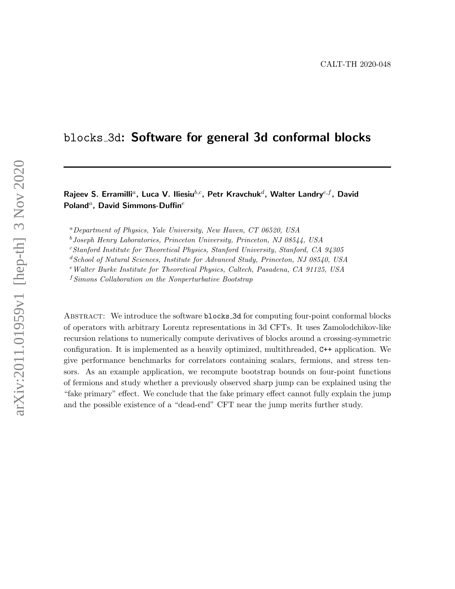# blocks 3d: Software for general 3d conformal blocks

## Rajeev S. Erramilli<sup>a</sup>, Luca V. Iliesiu<sup>b,c</sup>, Petr Kravchuk<sup>d</sup>, Walter Landry<sup>e,f</sup>, David Poland<sup>a</sup>, David Simmons-Duffin<sup>e</sup>

 ${}^a$ Department of Physics, Yale University, New Haven, CT 06520, USA

 $b$ Joseph Henry Laboratories, Princeton University, Princeton, NJ 08544, USA

 $c$ Stanford Institute for Theoretical Physics, Stanford University, Stanford, CA 94305

 $^{d}$  School of Natural Sciences, Institute for Advanced Study, Princeton, NJ 08540, USA

<sup>e</sup>Walter Burke Institute for Theoretical Physics, Caltech, Pasadena, CA 91125, USA

 $fSimons$  Collaboration on the Nonperturbative Bootstrap

ABSTRACT: We introduce the software **blocks\_3d** for computing four-point conformal blocks of operators with arbitrary Lorentz representations in 3d CFTs. It uses Zamolodchikov-like recursion relations to numerically compute derivatives of blocks around a crossing-symmetric configuration. It is implemented as a heavily optimized, multithreaded, C++ application. We give performance benchmarks for correlators containing scalars, fermions, and stress tensors. As an example application, we recompute bootstrap bounds on four-point functions of fermions and study whether a previously observed sharp jump can be explained using the "fake primary" effect. We conclude that the fake primary effect cannot fully explain the jump and the possible existence of a "dead-end" CFT near the jump merits further study.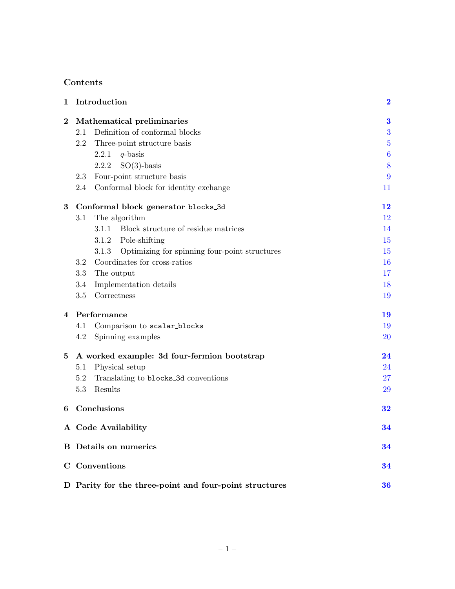# Contents

| 1        | Introduction                                                 | $\overline{\mathbf{2}}$ |  |  |  |  |
|----------|--------------------------------------------------------------|-------------------------|--|--|--|--|
| $\bf{2}$ | Mathematical preliminaries                                   | $\bf{3}$                |  |  |  |  |
|          | Definition of conformal blocks<br>2.1                        | 3                       |  |  |  |  |
|          | 2.2<br>Three-point structure basis                           | $\overline{5}$          |  |  |  |  |
|          | 2.2.1<br>$q$ -basis                                          | $\boldsymbol{6}$        |  |  |  |  |
|          | $SO(3)$ -basis<br>2.2.2                                      | 8                       |  |  |  |  |
|          | Four-point structure basis<br>2.3                            | 9                       |  |  |  |  |
|          | Conformal block for identity exchange<br>2.4                 | 11                      |  |  |  |  |
| 3        | Conformal block generator blocks_3d                          | 12                      |  |  |  |  |
|          | The algorithm<br>3.1                                         | 12                      |  |  |  |  |
|          | Block structure of residue matrices<br>3.1.1                 | 14                      |  |  |  |  |
|          | Pole-shifting<br>3.1.2                                       | 15                      |  |  |  |  |
|          | Optimizing for spinning four-point structures<br>3.1.3       | 15                      |  |  |  |  |
|          | Coordinates for cross-ratios<br>3.2                          | 16                      |  |  |  |  |
|          | 3.3<br>The output                                            | 17                      |  |  |  |  |
|          | Implementation details<br>3.4                                | 18                      |  |  |  |  |
|          | 3.5<br>Correctness                                           | 19                      |  |  |  |  |
| 4        | Performance                                                  | 19                      |  |  |  |  |
|          | Comparison to scalar_blocks<br>4.1                           | 19                      |  |  |  |  |
|          | Spinning examples<br>4.2                                     | <b>20</b>               |  |  |  |  |
| 5        | A worked example: 3d four-fermion bootstrap                  | 24                      |  |  |  |  |
|          | Physical setup<br>5.1                                        | 24                      |  |  |  |  |
|          | 5.2<br>Translating to blocks_3d conventions                  | 27                      |  |  |  |  |
|          | Results<br>5.3                                               | 29                      |  |  |  |  |
| 6        | Conclusions                                                  | 32                      |  |  |  |  |
|          | A Code Availability                                          | 34                      |  |  |  |  |
|          | <b>B</b> Details on numerics                                 | 34                      |  |  |  |  |
|          | C Conventions<br>34                                          |                         |  |  |  |  |
|          | D Parity for the three-point and four-point structures<br>36 |                         |  |  |  |  |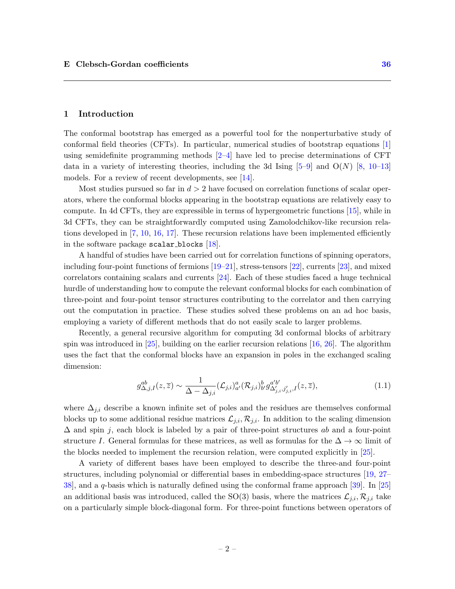### <span id="page-2-0"></span>1 Introduction

The conformal bootstrap has emerged as a powerful tool for the nonperturbative study of conformal field theories (CFTs). In particular, numerical studies of bootstrap equations [\[1\]](#page-36-2) using semidefinite programming methods [\[2–](#page-36-3)[4\]](#page-37-0) have led to precise determinations of CFT data in a variety of interesting theories, including the 3d Ising  $[5-9]$  $[5-9]$  and  $O(N)$   $[8, 10-13]$  $[8, 10-13]$  $[8, 10-13]$  $[8, 10-13]$ models. For a review of recent developments, see [\[14\]](#page-37-6).

Most studies pursued so far in  $d > 2$  have focused on correlation functions of scalar operators, where the conformal blocks appearing in the bootstrap equations are relatively easy to compute. In 4d CFTs, they are expressible in terms of hypergeometric functions [\[15\]](#page-37-7), while in 3d CFTs, they can be straightforwardly computed using Zamolodchikov-like recursion relations developed in  $[7, 10, 16, 17]$  $[7, 10, 16, 17]$  $[7, 10, 16, 17]$  $[7, 10, 16, 17]$  $[7, 10, 16, 17]$  $[7, 10, 16, 17]$  $[7, 10, 16, 17]$ . These recursion relations have been implemented efficiently in the software package scalar blocks [\[18\]](#page-37-11).

A handful of studies have been carried out for correlation functions of spinning operators, including four-point functions of fermions [\[19–](#page-37-12)[21\]](#page-37-13), stress-tensors [\[22\]](#page-38-0), currents [\[23\]](#page-38-1), and mixed correlators containing scalars and currents [\[24\]](#page-38-2). Each of these studies faced a huge technical hurdle of understanding how to compute the relevant conformal blocks for each combination of three-point and four-point tensor structures contributing to the correlator and then carrying out the computation in practice. These studies solved these problems on an ad hoc basis, employing a variety of different methods that do not easily scale to larger problems.

Recently, a general recursive algorithm for computing 3d conformal blocks of arbitrary spin was introduced in [\[25\]](#page-38-3), building on the earlier recursion relations [\[16,](#page-37-9) [26\]](#page-38-4). The algorithm uses the fact that the conformal blocks have an expansion in poles in the exchanged scaling dimension:

$$
g_{\Delta,j,I}^{ab}(z,\overline{z}) \sim \frac{1}{\Delta - \Delta_{j,i}} (\mathcal{L}_{j,i})_{a}^{a} (\mathcal{R}_{j,i})_{b}^{b} g_{\Delta'_{j,i},j'_{j,i},I}^{a'b'}(z,\overline{z}), \qquad (1.1)
$$

where  $\Delta_{j,i}$  describe a known infinite set of poles and the residues are themselves conformal blocks up to some additional residue matrices  $\mathcal{L}_{j,i}, \mathcal{R}_{j,i}$ . In addition to the scaling dimension  $\Delta$  and spin j, each block is labeled by a pair of three-point structures ab and a four-point structure I. General formulas for these matrices, as well as formulas for the  $\Delta \to \infty$  limit of the blocks needed to implement the recursion relation, were computed explicitly in [\[25\]](#page-38-3).

A variety of different bases have been employed to describe the three-and four-point structures, including polynomial or differential bases in embedding-space structures [\[19,](#page-37-12) [27–](#page-38-5) [38\]](#page-38-6), and a q-basis which is naturally defined using the conformal frame approach [\[39\]](#page-38-7). In [\[25\]](#page-38-3) an additional basis was introduced, called the SO(3) basis, where the matrices  $\mathcal{L}_{i,i}, \mathcal{R}_{j,i}$  take on a particularly simple block-diagonal form. For three-point functions between operators of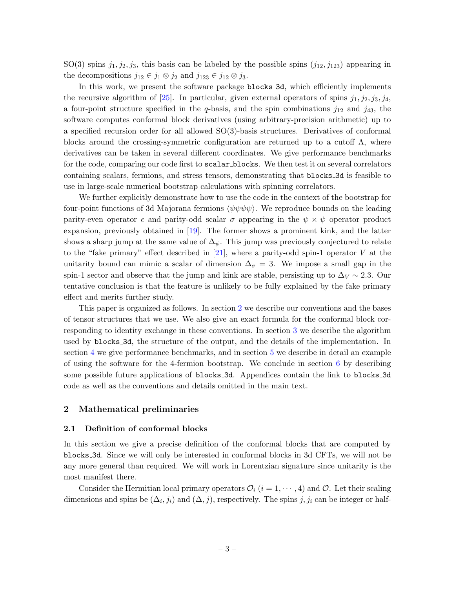SO(3) spins  $j_1, j_2, j_3$ , this basis can be labeled by the possible spins  $(j_{12}, j_{123})$  appearing in the decompositions  $j_{12} \in j_1 \otimes j_2$  and  $j_{123} \in j_{12} \otimes j_3$ .

In this work, we present the software package blocks 3d, which efficiently implements the recursive algorithm of [\[25\]](#page-38-3). In particular, given external operators of spins  $j_1, j_2, j_3, j_4$ , a four-point structure specified in the q-basis, and the spin combinations  $j_{12}$  and  $j_{43}$ , the software computes conformal block derivatives (using arbitrary-precision arithmetic) up to a specified recursion order for all allowed  $SO(3)$ -basis structures. Derivatives of conformal blocks around the crossing-symmetric configuration are returned up to a cutoff  $\Lambda$ , where derivatives can be taken in several different coordinates. We give performance benchmarks for the code, comparing our code first to scalar blocks. We then test it on several correlators containing scalars, fermions, and stress tensors, demonstrating that blocks 3d is feasible to use in large-scale numerical bootstrap calculations with spinning correlators.

We further explicitly demonstrate how to use the code in the context of the bootstrap for four-point functions of 3d Majorana fermions  $\langle \psi \psi \psi \psi \rangle$ . We reproduce bounds on the leading parity-even operator  $\epsilon$  and parity-odd scalar  $\sigma$  appearing in the  $\psi \times \psi$  operator product expansion, previously obtained in [\[19\]](#page-37-12). The former shows a prominent kink, and the latter shows a sharp jump at the same value of  $\Delta_{\psi}$ . This jump was previously conjectured to relate to the "fake primary" effect described in [\[21\]](#page-37-13), where a parity-odd spin-1 operator  $V$  at the unitarity bound can mimic a scalar of dimension  $\Delta_{\sigma} = 3$ . We impose a small gap in the spin-1 sector and observe that the jump and kink are stable, persisting up to  $\Delta V \sim 2.3$ . Our tentative conclusion is that the feature is unlikely to be fully explained by the fake primary effect and merits further study.

This paper is organized as follows. In section [2](#page-3-0) we describe our conventions and the bases of tensor structures that we use. We also give an exact formula for the conformal block corresponding to identity exchange in these conventions. In section [3](#page-12-0) we describe the algorithm used by blocks 3d, the structure of the output, and the details of the implementation. In section [4](#page-19-1) we give performance benchmarks, and in section [5](#page-24-0) we describe in detail an example of using the software for the 4-fermion bootstrap. We conclude in section  $6$  by describing some possible future applications of blocks 3d. Appendices contain the link to blocks 3d code as well as the conventions and details omitted in the main text.

### <span id="page-3-0"></span>2 Mathematical preliminaries

### <span id="page-3-1"></span>2.1 Definition of conformal blocks

In this section we give a precise definition of the conformal blocks that are computed by blocks 3d. Since we will only be interested in conformal blocks in 3d CFTs, we will not be any more general than required. We will work in Lorentzian signature since unitarity is the most manifest there.

Consider the Hermitian local primary operators  $\mathcal{O}_i$  ( $i = 1, \dots, 4$ ) and  $\mathcal{O}$ . Let their scaling dimensions and spins be  $(\Delta_i, j_i)$  and  $(\Delta, j)$ , respectively. The spins  $j, j_i$  can be integer or half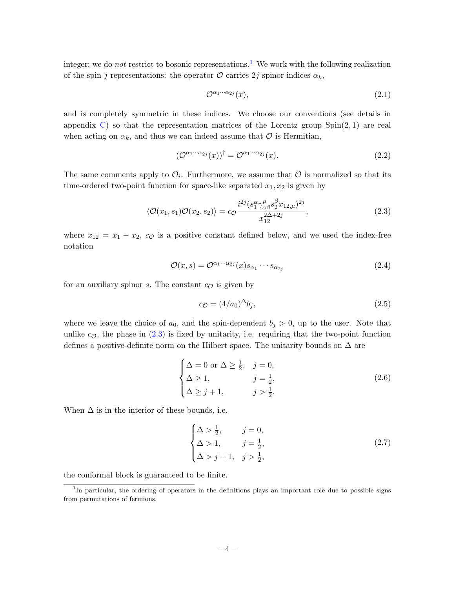integer; we do *not* restrict to bosonic representations.<sup>[1](#page-4-0)</sup> We work with the following realization of the spin-j representations: the operator  $\mathcal O$  carries  $2j$  spinor indices  $\alpha_k$ ,

<span id="page-4-1"></span>
$$
\mathcal{O}^{\alpha_1 \cdots \alpha_{2j}}(x),\tag{2.1}
$$

and is completely symmetric in these indices. We choose our conventions (see details in appendix [C\)](#page-34-2) so that the representation matrices of the Lorentz group  $Spin(2,1)$  are real when acting on  $\alpha_k$ , and thus we can indeed assume that  $\mathcal O$  is Hermitian,

$$
(\mathcal{O}^{\alpha_1 \cdots \alpha_{2j}}(x))^\dagger = \mathcal{O}^{\alpha_1 \cdots \alpha_{2j}}(x). \tag{2.2}
$$

The same comments apply to  $\mathcal{O}_i$ . Furthermore, we assume that  $\mathcal O$  is normalized so that its time-ordered two-point function for space-like separated  $x_1, x_2$  is given by

$$
\langle \mathcal{O}(x_1, s_1) \mathcal{O}(x_2, s_2) \rangle = c_{\mathcal{O}} \frac{i^{2j} (s_1^{\alpha} \gamma_{\alpha \beta}^{\mu} s_2^{\beta} x_{12, \mu})^{2j}}{x_{12}^{2\Delta + 2j}},
$$
(2.3)

where  $x_{12} = x_1 - x_2$ ,  $c_{\mathcal{O}}$  is a positive constant defined below, and we used the index-free notation

$$
\mathcal{O}(x,s) = \mathcal{O}^{\alpha_1 \cdots \alpha_{2j}}(x) s_{\alpha_1} \cdots s_{\alpha_{2j}} \tag{2.4}
$$

for an auxiliary spinor s. The constant  $c_{\mathcal{O}}$  is given by

<span id="page-4-2"></span>
$$
c_{\mathcal{O}} = (4/a_0)^{\Delta} b_j,\tag{2.5}
$$

where we leave the choice of  $a_0$ , and the spin-dependent  $b_j > 0$ , up to the user. Note that unlike  $c_{\mathcal{O}}$ , the phase in  $(2.3)$  is fixed by unitarity, i.e. requiring that the two-point function defines a positive-definite norm on the Hilbert space. The unitarity bounds on  $\Delta$  are

$$
\begin{cases}\n\Delta = 0 \text{ or } \Delta \ge \frac{1}{2}, & j = 0, \\
\Delta \ge 1, & j = \frac{1}{2}, \\
\Delta \ge j + 1, & j > \frac{1}{2}.\n\end{cases}
$$
\n(2.6)

When  $\Delta$  is in the interior of these bounds, i.e.

$$
\begin{cases}\n\Delta > \frac{1}{2}, & j = 0, \\
\Delta > 1, & j = \frac{1}{2}, \\
\Delta > j + 1, & j > \frac{1}{2},\n\end{cases}
$$
\n(2.7)

the conformal block is guaranteed to be finite.

<span id="page-4-0"></span><sup>&</sup>lt;sup>1</sup>In particular, the ordering of operators in the definitions plays an important role due to possible signs from permutations of fermions.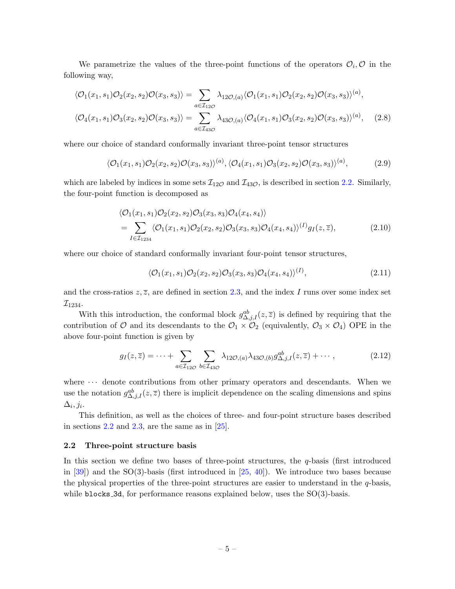We parametrize the values of the three-point functions of the operators  $\mathcal{O}_i, \mathcal{O}$  in the following way,

$$
\langle \mathcal{O}_1(x_1, s_1) \mathcal{O}_2(x_2, s_2) \mathcal{O}(x_3, s_3) \rangle = \sum_{a \in \mathcal{I}_{12\mathcal{O}}} \lambda_{12\mathcal{O}, (a)} \langle \mathcal{O}_1(x_1, s_1) \mathcal{O}_2(x_2, s_2) \mathcal{O}(x_3, s_3) \rangle^{(a)},
$$
  

$$
\langle \mathcal{O}_4(x_1, s_1) \mathcal{O}_3(x_2, s_2) \mathcal{O}(x_3, s_3) \rangle = \sum_{a \in \mathcal{I}_{43\mathcal{O}}} \lambda_{43\mathcal{O}, (a)} \langle \mathcal{O}_4(x_1, s_1) \mathcal{O}_3(x_2, s_2) \mathcal{O}(x_3, s_3) \rangle^{(a)}, \quad (2.8)
$$

where our choice of standard conformally invariant three-point tensor structures

$$
\langle \mathcal{O}_1(x_1, s_1) \mathcal{O}_2(x_2, s_2) \mathcal{O}(x_3, s_3) \rangle^{(a)}, \langle \mathcal{O}_4(x_1, s_1) \mathcal{O}_3(x_2, s_2) \mathcal{O}(x_3, s_3) \rangle^{(a)}, \tag{2.9}
$$

which are labeled by indices in some sets  $\mathcal{I}_{12\mathcal{O}}$  and  $\mathcal{I}_{43\mathcal{O}}$ , is described in section [2.2.](#page-5-0) Similarly, the four-point function is decomposed as

$$
\langle \mathcal{O}_1(x_1, s_1) \mathcal{O}_2(x_2, s_2) \mathcal{O}_3(x_3, s_3) \mathcal{O}_4(x_4, s_4) \rangle
$$
  
= 
$$
\sum_{I \in \mathcal{I}_{1234}} \langle \mathcal{O}_1(x_1, s_1) \mathcal{O}_2(x_2, s_2) \mathcal{O}_3(x_3, s_3) \mathcal{O}_4(x_4, s_4) \rangle^{(I)} g_I(z, \overline{z}),
$$
(2.10)

where our choice of standard conformally invariant four-point tensor structures,

$$
\langle \mathcal{O}_1(x_1, s_1) \mathcal{O}_2(x_2, s_2) \mathcal{O}_3(x_3, s_3) \mathcal{O}_4(x_4, s_4) \rangle^{(I)},\tag{2.11}
$$

and the cross-ratios  $z, \overline{z}$ , are defined in section [2.3,](#page-9-0) and the index I runs over some index set  $\mathcal{I}_{1234}.$ 

With this introduction, the conformal block  $g_{\Delta,j,I}^{ab}(z,\overline{z})$  is defined by requiring that the contribution of O and its descendants to the  $\mathcal{O}_1 \times \mathcal{O}_2$  (equivalently,  $\mathcal{O}_3 \times \mathcal{O}_4$ ) OPE in the above four-point function is given by

$$
g_I(z,\overline{z}) = \dots + \sum_{a \in \mathcal{I}_{12\mathcal{O}}} \sum_{b \in \mathcal{I}_{43\mathcal{O}}} \lambda_{12\mathcal{O},(a)} \lambda_{43\mathcal{O},(b)} g_{\Delta,j,I}^{ab}(z,\overline{z}) + \dotsb, \tag{2.12}
$$

where  $\cdots$  denote contributions from other primary operators and descendants. When we use the notation  $g_{\Delta,j,I}^{ab}(z,\overline{z})$  there is implicit dependence on the scaling dimensions and spins  $\Delta_i, j_i.$ 

This definition, as well as the choices of three- and four-point structure bases described in sections  $2.2$  and  $2.3$ , are the same as in  $[25]$ .

#### <span id="page-5-0"></span>2.2 Three-point structure basis

In this section we define two bases of three-point structures, the q-basis (first introduced in [\[39\]](#page-38-7)) and the SO(3)-basis (first introduced in [\[25,](#page-38-3) [40\]](#page-38-8)). We introduce two bases because the physical properties of the three-point structures are easier to understand in the  $q$ -basis, while blocks 3d, for performance reasons explained below, uses the  $SO(3)$ -basis.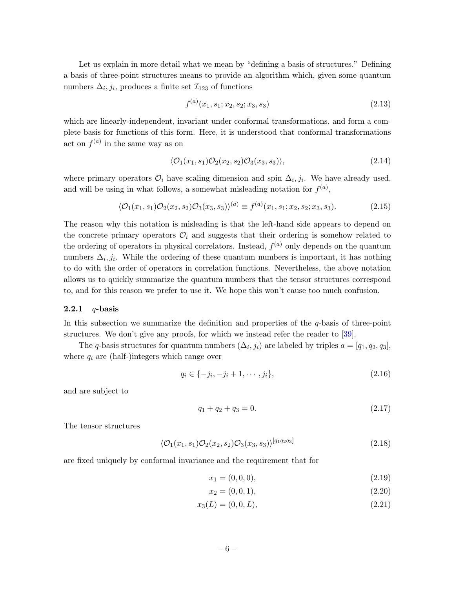Let us explain in more detail what we mean by "defining a basis of structures." Defining a basis of three-point structures means to provide an algorithm which, given some quantum numbers  $\Delta_i, j_i$ , produces a finite set  $\mathcal{I}_{123}$  of functions

$$
f^{(a)}(x_1, s_1; x_2, s_2; x_3, s_3) \tag{2.13}
$$

which are linearly-independent, invariant under conformal transformations, and form a complete basis for functions of this form. Here, it is understood that conformal transformations act on  $f^{(a)}$  in the same way as on

<span id="page-6-1"></span>
$$
\langle \mathcal{O}_1(x_1, s_1) \mathcal{O}_2(x_2, s_2) \mathcal{O}_3(x_3, s_3) \rangle, \tag{2.14}
$$

where primary operators  $\mathcal{O}_i$  have scaling dimension and spin  $\Delta_i, j_i$ . We have already used, and will be using in what follows, a somewhat misleading notation for  $f^{(a)}$ ,

$$
\langle \mathcal{O}_1(x_1, s_1) \mathcal{O}_2(x_2, s_2) \mathcal{O}_3(x_3, s_3) \rangle^{(a)} \equiv f^{(a)}(x_1, s_1; x_2, s_2; x_3, s_3). \tag{2.15}
$$

The reason why this notation is misleading is that the left-hand side appears to depend on the concrete primary operators  $\mathcal{O}_i$  and suggests that their ordering is somehow related to the ordering of operators in physical correlators. Instead,  $f^{(a)}$  only depends on the quantum numbers  $\Delta_i, j_i$ . While the ordering of these quantum numbers is important, it has nothing to do with the order of operators in correlation functions. Nevertheless, the above notation allows us to quickly summarize the quantum numbers that the tensor structures correspond to, and for this reason we prefer to use it. We hope this won't cause too much confusion.

#### <span id="page-6-0"></span>2.2.1  $q$ -basis

In this subsection we summarize the definition and properties of the  $q$ -basis of three-point structures. We don't give any proofs, for which we instead refer the reader to [\[39\]](#page-38-7).

The q-basis structures for quantum numbers  $(\Delta_i, j_i)$  are labeled by triples  $a = [q_1, q_2, q_3]$ , where  $q_i$  are (half-)integers which range over

$$
q_i \in \{-j_i, -j_i + 1, \cdots, j_i\},\tag{2.16}
$$

and are subject to

$$
q_1 + q_2 + q_3 = 0. \t\t(2.17)
$$

The tensor structures

$$
\langle \mathcal{O}_1(x_1, s_1) \mathcal{O}_2(x_2, s_2) \mathcal{O}_3(x_3, s_3) \rangle^{[q_1 q_2 q_3]} \tag{2.18}
$$

are fixed uniquely by conformal invariance and the requirement that for

<span id="page-6-2"></span>
$$
x_1 = (0, 0, 0), \tag{2.19}
$$

$$
x_2 = (0, 0, 1), \tag{2.20}
$$

$$
x_3(L) = (0, 0, L), \tag{2.21}
$$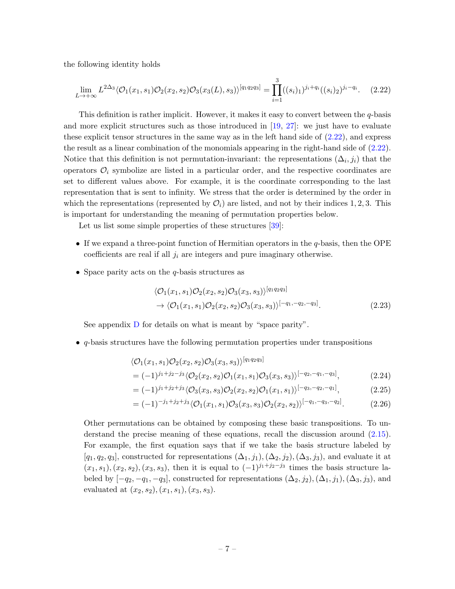the following identity holds

<span id="page-7-0"></span>
$$
\lim_{L \to +\infty} L^{2\Delta_3} \langle \mathcal{O}_1(x_1, s_1) \mathcal{O}_2(x_2, s_2) \mathcal{O}_3(x_3(L), s_3) \rangle^{[q_1 q_2 q_3]} = \prod_{i=1}^3 ((s_i)_1)^{j_i + q_i} ((s_i)_2)^{j_i - q_i}.
$$
 (2.22)

This definition is rather implicit. However, it makes it easy to convert between the  $q$ -basis and more explicit structures such as those introduced in [\[19,](#page-37-12) [27\]](#page-38-5): we just have to evaluate these explicit tensor structures in the same way as in the left hand side of  $(2.22)$ , and express the result as a linear combination of the monomials appearing in the right-hand side of [\(2.22\)](#page-7-0). Notice that this definition is not permutation-invariant: the representations  $(\Delta_i, j_i)$  that the operators  $\mathcal{O}_i$  symbolize are listed in a particular order, and the respective coordinates are set to different values above. For example, it is the coordinate corresponding to the last representation that is sent to infinity. We stress that the order is determined by the order in which the representations (represented by  $\mathcal{O}_i$ ) are listed, and not by their indices 1, 2, 3. This is important for understanding the meaning of permutation properties below.

Let us list some simple properties of these structures [\[39\]](#page-38-7):

- If we expand a three-point function of Hermitian operators in the  $q$ -basis, then the OPE coefficients are real if all  $j_i$  are integers and pure imaginary otherwise.
- Space parity acts on the  $q$ -basis structures as

$$
\langle \mathcal{O}_1(x_1, s_1) \mathcal{O}_2(x_2, s_2) \mathcal{O}_3(x_3, s_3) \rangle^{[q_1 q_2 q_3]} \n\to \langle \mathcal{O}_1(x_1, s_1) \mathcal{O}_2(x_2, s_2) \mathcal{O}_3(x_3, s_3) \rangle^{[-q_1, -q_2, -q_3]}.
$$
\n(2.23)

See appendix  $\overline{D}$  $\overline{D}$  $\overline{D}$  for details on what is meant by "space parity".

• q-basis structures have the following permutation properties under transpositions

$$
\langle \mathcal{O}_1(x_1, s_1) \mathcal{O}_2(x_2, s_2) \mathcal{O}_3(x_3, s_3) \rangle^{[q_1 q_2 q_3]}
$$
  
=  $(-1)^{j_1+j_2-j_3} \langle \mathcal{O}_2(x_2, s_2) \mathcal{O}_1(x_1, s_1) \mathcal{O}_3(x_3, s_3) \rangle^{[-q_2, -q_1, -q_3]},$  (2.24)

$$
= (-1)^{j_1+j_2+j_3} \langle \mathcal{O}_3(x_3, s_3) \mathcal{O}_2(x_2, s_2) \mathcal{O}_1(x_1, s_1) \rangle^{[-q_3, -q_2, -q_1]}, \tag{2.25}
$$

$$
= (-1)^{-j_1+j_2+j_3} \langle \mathcal{O}_1(x_1, s_1) \mathcal{O}_3(x_3, s_3) \mathcal{O}_2(x_2, s_2) \rangle^{[-q_1, -q_3, -q_2]}.
$$
 (2.26)

Other permutations can be obtained by composing these basic transpositions. To understand the precise meaning of these equations, recall the discussion around [\(2.15\)](#page-6-1). For example, the first equation says that if we take the basis structure labeled by  $[q_1, q_2, q_3]$ , constructed for representations  $(\Delta_1, j_1), (\Delta_2, j_2), (\Delta_3, j_3)$ , and evaluate it at  $(x_1, s_1), (x_2, s_2), (x_3, s_3)$ , then it is equal to  $(-1)^{j_1+j_2-j_3}$  times the basis structure labeled by  $[-q_2, -q_1, -q_3]$ , constructed for representations  $(\Delta_2, j_2), (\Delta_1, j_1), (\Delta_3, j_3)$ , and evaluated at  $(x_2, s_2), (x_1, s_1), (x_3, s_3).$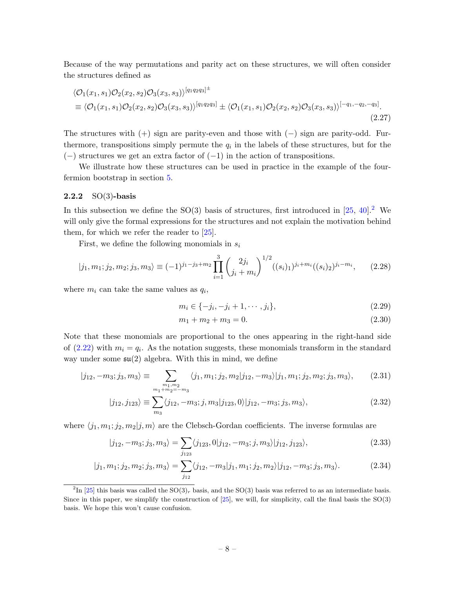Because of the way permutations and parity act on these structures, we will often consider the structures defined as

$$
\langle \mathcal{O}_1(x_1, s_1) \mathcal{O}_2(x_2, s_2) \mathcal{O}_3(x_3, s_3) \rangle^{[q_1 q_2 q_3]^{\pm}}
$$
  
\n
$$
\equiv \langle \mathcal{O}_1(x_1, s_1) \mathcal{O}_2(x_2, s_2) \mathcal{O}_3(x_3, s_3) \rangle^{[q_1 q_2 q_3]} \pm \langle \mathcal{O}_1(x_1, s_1) \mathcal{O}_2(x_2, s_2) \mathcal{O}_3(x_3, s_3) \rangle^{[-q_1, -q_2, -q_3]}.
$$
\n(2.27)

The structures with  $(+)$  sign are parity-even and those with  $(-)$  sign are parity-odd. Furthermore, transpositions simply permute the  $q_i$  in the labels of these structures, but for the  $(-)$  structures we get an extra factor of  $(-1)$  in the action of transpositions.

We illustrate how these structures can be used in practice in the example of the fourfermion bootstrap in section [5.](#page-24-0)

### <span id="page-8-0"></span>2.2.2  $SO(3)$ -basis

In this subsection we define the  $SO(3)$  basis of structures, first introduced in [\[25,](#page-38-3) [40\]](#page-38-8).<sup>[2](#page-8-1)</sup> We will only give the formal expressions for the structures and not explain the motivation behind them, for which we refer the reader to [\[25\]](#page-38-3).

First, we define the following monomials in  $s_i$ 

$$
|j_1, m_1; j_2, m_2; j_3, m_3\rangle \equiv (-1)^{j_1 - j_3 + m_2} \prod_{i=1}^3 \binom{2j_i}{j_i + m_i}^{1/2} ((s_i)_1)^{j_i + m_i} ((s_i)_2)^{j_i - m_i}, \qquad (2.28)
$$

where  $m_i$  can take the same values as  $q_i$ ,

<span id="page-8-2"></span>
$$
m_i \in \{-j_i, -j_i + 1, \cdots, j_i\},\tag{2.29}
$$

<span id="page-8-6"></span><span id="page-8-5"></span><span id="page-8-4"></span><span id="page-8-3"></span>
$$
m_1 + m_2 + m_3 = 0.\t\t(2.30)
$$

Note that these monomials are proportional to the ones appearing in the right-hand side of  $(2.22)$  with  $m_i = q_i$ . As the notation suggests, these monomials transform in the standard way under some  $\mathfrak{su}(2)$  algebra. With this in mind, we define

$$
|j_{12}, -m_3; j_3, m_3\rangle \equiv \sum_{\substack{m_1, m_2 \ m_1 + m_2 = -m_3}} \langle j_1, m_1; j_2, m_2 | j_{12}, -m_3 \rangle | j_1, m_1; j_2, m_2; j_3, m_3 \rangle, \tag{2.31}
$$

$$
|j_{12}, j_{123}\rangle \equiv \sum_{m_3} \langle j_{12}, -m_3; j, m_3 | j_{123}, 0 \rangle | j_{12}, -m_3; j_3, m_3 \rangle, \tag{2.32}
$$

where  $\langle j_1, m_1; j_2, m_2|j, m \rangle$  are the Clebsch-Gordan coefficients. The inverse formulas are

$$
|j_{12}, -m_3; j_3, m_3\rangle = \sum_{j_{123}} \langle j_{123}, 0 | j_{12}, -m_3; j, m_3 \rangle | j_{12}, j_{123} \rangle, \tag{2.33}
$$

$$
|j_1, m_1; j_2, m_2; j_3, m_3\rangle = \sum_{j_{12}} \langle j_{12}, -m_3 | j_1, m_1; j_2, m_2 \rangle | j_{12}, -m_3; j_3, m_3 \rangle. \tag{2.34}
$$

<span id="page-8-1"></span><sup>&</sup>lt;sup>2</sup>In [\[25\]](#page-38-3) this basis was called the SO(3)<sub>r</sub> basis, and the SO(3) basis was referred to as an intermediate basis. Since in this paper, we simplify the construction of [\[25\]](#page-38-3), we will, for simplicity, call the final basis the SO(3) basis. We hope this won't cause confusion.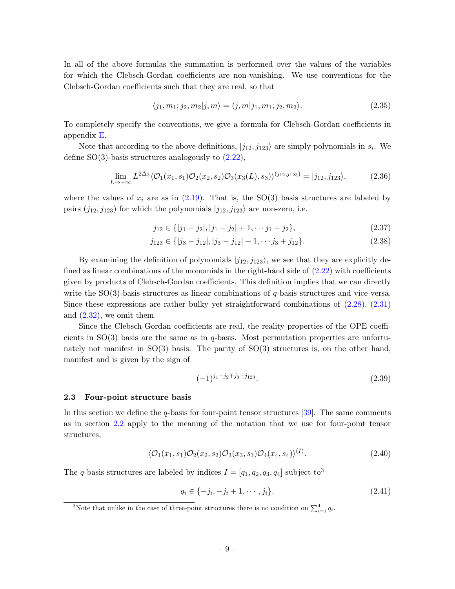In all of the above formulas the summation is performed over the values of the variables for which the Clebsch-Gordan coefficients are non-vanishing. We use conventions for the Clebsch-Gordan coefficients such that they are real, so that

$$
\langle j_1, m_1; j_2, m_2 | j, m \rangle = \langle j, m | j_1, m_1; j_2, m_2 \rangle. \tag{2.35}
$$

To completely specify the conventions, we give a formula for Clebsch-Gordan coefficients in appendix [E.](#page-36-1)

Note that according to the above definitions,  $|j_{12}, j_{123}\rangle$  are simply polynomials in  $s_i$ . We define  $SO(3)$ -basis structures analogously to  $(2.22)$ ,

$$
\lim_{L \to +\infty} L^{2\Delta_3} \langle \mathcal{O}_1(x_1, s_1) \mathcal{O}_2(x_2, s_2) \mathcal{O}_3(x_3(L), s_3) \rangle^{(j_{12}, j_{123})} = |j_{12}, j_{123} \rangle, \tag{2.36}
$$

where the values of  $x_i$  are as in  $(2.19)$ . That is, the SO(3) basis structures are labeled by pairs  $(j_{12}, j_{123})$  for which the polynomials  $|j_{12}, j_{123}\rangle$  are non-zero, i.e.

<span id="page-9-2"></span>
$$
j_{12} \in \{ |j_1 - j_2|, |j_1 - j_2| + 1, \cdots j_1 + j_2 \},\tag{2.37}
$$

$$
j_{123} \in \{ |j_3 - j_{12}|, |j_3 - j_{12}| + 1, \cdots j_3 + j_{12} \}.
$$
 (2.38)

By examining the definition of polynomials  $|j_{12}, j_{123}\rangle$ , we see that they are explicitly defined as linear combinations of the monomials in the right-hand side of  $(2.22)$  with coefficients given by products of Clebsch-Gordan coefficients. This definition implies that we can directly write the  $SO(3)$ -basis structures as linear combinations of q-basis structures and vice versa. Since these expressions are rather bulky yet straightforward combinations of [\(2.28\)](#page-8-2), [\(2.31\)](#page-8-3) and  $(2.32)$ , we omit them.

Since the Clebsch-Gordan coefficients are real, the reality properties of the OPE coefficients in  $SO(3)$  basis are the same as in q-basis. Most permutation properties are unfortunately not manifest in  $SO(3)$  basis. The parity of  $SO(3)$  structures is, on the other hand, manifest and is given by the sign of

$$
(-1)^{j_1-j_2+j_3-j_{123}}.\t(2.39)
$$

#### <span id="page-9-0"></span>2.3 Four-point structure basis

In this section we define the  $q$ -basis for four-point tensor structures [\[39\]](#page-38-7). The same comments as in section [2.2](#page-5-0) apply to the meaning of the notation that we use for four-point tensor structures,

$$
\langle \mathcal{O}_1(x_1, s_1) \mathcal{O}_2(x_2, s_2) \mathcal{O}_3(x_3, s_3) \mathcal{O}_4(x_4, s_4) \rangle^{(I)}.
$$
\n(2.40)

The q-basis structures are labeled by indices  $I = [q_1, q_2, q_3, q_4]$  $I = [q_1, q_2, q_3, q_4]$  $I = [q_1, q_2, q_3, q_4]$  subject to<sup>3</sup>

$$
q_i \in \{-j_i, -j_i + 1, \cdots, j_i\}.
$$
\n(2.41)

<span id="page-9-1"></span><sup>&</sup>lt;sup>3</sup>Note that unlike in the case of three-point structures there is no condition on  $\sum_{i=1}^{4} q_i$ .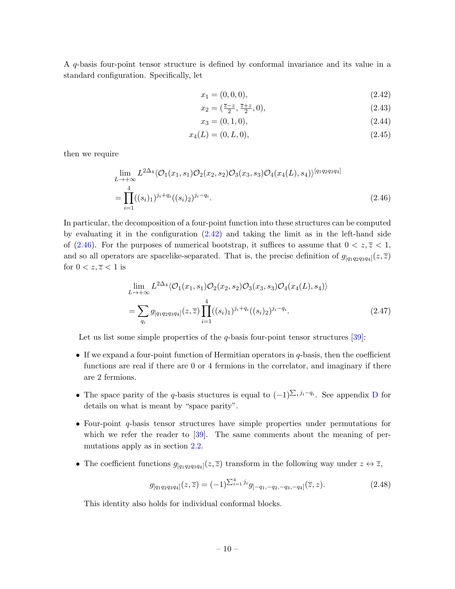A q-basis four-point tensor structure is defined by conformal invariance and its value in a standard configuration. Specifically, let

<span id="page-10-0"></span>
$$
x_1 = (0, 0, 0), \tag{2.42}
$$

$$
x_2 = \left(\frac{\overline{z} - z}{2}, \frac{\overline{z} + z}{2}, 0\right),\tag{2.43}
$$

<span id="page-10-1"></span>
$$
x_3 = (0, 1, 0), \tag{2.44}
$$

$$
x_4(L) = (0, L, 0), \tag{2.45}
$$

then we require

$$
\lim_{L \to +\infty} L^{2\Delta_4} \langle \mathcal{O}_1(x_1, s_1) \mathcal{O}_2(x_2, s_2) \mathcal{O}_3(x_3, s_3) \mathcal{O}_4(x_4(L), s_4) \rangle^{[q_1 q_2 q_3 q_4]}
$$
\n
$$
= \prod_{i=1}^4 ((s_i)_1)^{j_i + q_i} ((s_i)_2)^{j_i - q_i}.
$$
\n(2.46)

In particular, the decomposition of a four-point function into these structures can be computed by evaluating it in the configuration  $(2.42)$  and taking the limit as in the left-hand side of [\(2.46\)](#page-10-1). For the purposes of numerical bootstrap, it suffices to assume that  $0 < z, \overline{z} < 1$ , and so all operators are spacelike-separated. That is, the precise definition of  $g_{[q_1q_2q_3q_4]}(z,\overline{z})$ for  $0 < z, \overline{z} < 1$  is

$$
\lim_{L \to +\infty} L^{2\Delta_4} \langle \mathcal{O}_1(x_1, s_1) \mathcal{O}_2(x_2, s_2) \mathcal{O}_3(x_3, s_3) \mathcal{O}_4(x_4(L), s_4) \rangle
$$
\n
$$
= \sum_{q_i} g_{[q_1 q_2 q_3 q_4]}(z, \overline{z}) \prod_{i=1}^4 ((s_i)_1)^{j_i + q_i} ((s_i)_2)^{j_i - q_i}.
$$
\n(2.47)

Let us list some simple properties of the  $q$ -basis four-point tensor structures [\[39\]](#page-38-7):

- If we expand a four-point function of Hermitian operators in q-basis, then the coefficient functions are real if there are 0 or 4 fermions in the correlator, and imaginary if there are 2 fermions.
- The space parity of the q-basis stuctures is equal to  $(-1)^{\sum_i j_i-q_i}$ . See appendix [D](#page-36-0) for details on what is meant by "space parity".
- Four-point q-basis tensor structures have simple properties under permutations for which we refer the reader to [\[39\]](#page-38-7). The same comments about the meaning of permutations apply as in section [2.2.](#page-5-0)
- The coefficient functions  $g_{[q_1q_2q_3q_4]}(z,\overline{z})$  transform in the following way under  $z \leftrightarrow \overline{z}$ ,

$$
g_{[q_1q_2q_3q_4]}(z,\overline{z}) = (-1)^{\sum_{i=1}^4 j_i} g_{[-q_1,-q_2,-q_3,-q_4]}(\overline{z},z). \tag{2.48}
$$

This identity also holds for individual conformal blocks.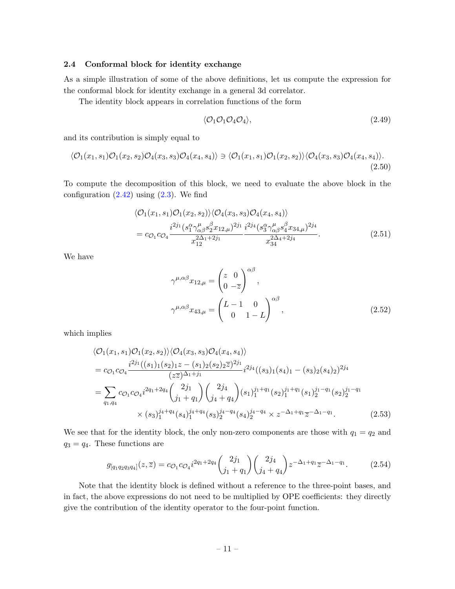#### <span id="page-11-0"></span>2.4 Conformal block for identity exchange

As a simple illustration of some of the above definitions, let us compute the expression for the conformal block for identity exchange in a general 3d correlator.

The identity block appears in correlation functions of the form

$$
\langle \mathcal{O}_1 \mathcal{O}_1 \mathcal{O}_4 \mathcal{O}_4 \rangle, \tag{2.49}
$$

and its contribution is simply equal to

$$
\langle \mathcal{O}_1(x_1, s_1) \mathcal{O}_1(x_2, s_2) \mathcal{O}_4(x_3, s_3) \mathcal{O}_4(x_4, s_4) \rangle \ni \langle \mathcal{O}_1(x_1, s_1) \mathcal{O}_1(x_2, s_2) \rangle \langle \mathcal{O}_4(x_3, s_3) \mathcal{O}_4(x_4, s_4) \rangle. \tag{2.50}
$$

To compute the decomposition of this block, we need to evaluate the above block in the configuration  $(2.42)$  using  $(2.3)$ . We find

$$
\langle \mathcal{O}_1(x_1, s_1) \mathcal{O}_1(x_2, s_2) \rangle \langle \mathcal{O}_4(x_3, s_3) \mathcal{O}_4(x_4, s_4) \rangle \n= c_{\mathcal{O}_1} c_{\mathcal{O}_4} \frac{i^{2j_1} (s_1^{\alpha} \gamma_{\alpha\beta}^{\mu} s_2^{\beta} x_{12,\mu})^{2j_1}}{x_{12}^{2\Delta_1+2j_1}} \frac{i^{2j_4} (s_3^{\alpha} \gamma_{\alpha\beta}^{\mu} s_4^{\beta} x_{34,\mu})^{2j_4}}{x_{34}^{2\Delta_4+2j_4}}.
$$
\n(2.51)

We have

$$
\gamma^{\mu,\alpha\beta} x_{12,\mu} = \begin{pmatrix} z & 0 \\ 0 & -\overline{z} \end{pmatrix}^{\alpha\beta},
$$

$$
\gamma^{\mu,\alpha\beta} x_{43,\mu} = \begin{pmatrix} L-1 & 0 \\ 0 & 1-L \end{pmatrix}^{\alpha\beta},
$$
(2.52)

which implies

$$
\langle \mathcal{O}_1(x_1, s_1) \mathcal{O}_1(x_2, s_2) \rangle \langle \mathcal{O}_4(x_3, s_3) \mathcal{O}_4(x_4, s_4) \rangle
$$
  
=  $c_{\mathcal{O}_1} c_{\mathcal{O}_4} \frac{i^{2j_1}((s_1)_1(s_2)_1 z - (s_1)_2(s_2)_2 \overline{z})^{2j_1}}{(z\overline{z})^{\Delta_1+j_1}} i^{2j_4}((s_3)_1(s_4)_1 - (s_3)_2(s_4)_2)^{2j_4}$   
=  $\sum_{q_1, q_4} c_{\mathcal{O}_1} c_{\mathcal{O}_4} i^{2q_1+2q_4} \binom{2j_1}{j_1+q_1} \binom{2j_4}{j_4+q_4} (s_1)_1^{j_1+q_1} (s_2)_1^{j_1+q_1} (s_1)_2^{j_1-q_1} (s_2)_2^{j_1-q_1}$   
 $\times (s_3)_1^{j_4+q_4} (s_4)_1^{j_4+q_4} (s_3)_2^{j_4-q_4} (s_4)_2^{j_4-q_4} \times z^{-\Delta_1+q_1} \overline{z}^{-\Delta_1-q_1}.$  (2.53)

We see that for the identity block, the only non-zero components are those with  $q_1 = q_2$  and  $q_3 = q_4$ . These functions are

$$
g_{[q_1q_2q_3q_4]}(z,\overline{z}) = c_{\mathcal{O}_1}c_{\mathcal{O}_4}i^{2q_1+2q_4} \binom{2j_1}{j_1+q_1} \binom{2j_4}{j_4+q_4} z^{-\Delta_1+q_1} \overline{z}^{-\Delta_1-q_1}.
$$
 (2.54)

Note that the identity block is defined without a reference to the three-point bases, and in fact, the above expressions do not need to be multiplied by OPE coefficients: they directly give the contribution of the identity operator to the four-point function.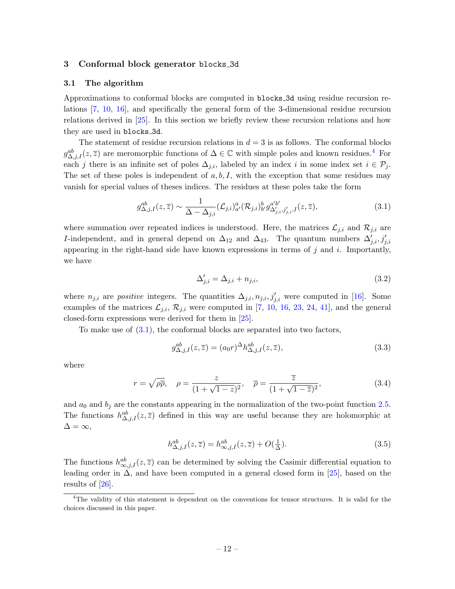#### <span id="page-12-0"></span>3 Conformal block generator blocks 3d

#### <span id="page-12-1"></span>3.1 The algorithm

Approximations to conformal blocks are computed in blocks 3d using residue recursion relations [\[7,](#page-37-8) [10,](#page-37-4) [16\]](#page-37-9), and specifically the general form of the 3-dimensional residue recursion relations derived in [\[25\]](#page-38-3). In this section we briefly review these recursion relations and how they are used in blocks 3d.

The statement of residue recursion relations in  $d = 3$  is as follows. The conformal blocks  $g_{\Delta,j,I}^{ab}(z,\overline{z})$  are meromorphic functions of  $\Delta \in \mathbb{C}$  with simple poles and known residues.<sup>[4](#page-12-2)</sup> For each j there is an infinite set of poles  $\Delta_{j,i}$ , labeled by an index i in some index set  $i \in \mathcal{P}_j$ . The set of these poles is independent of  $a, b, I$ , with the exception that some residues may vanish for special values of theses indices. The residues at these poles take the form

$$
g_{\Delta,j,I}^{ab}(z,\overline{z}) \sim \frac{1}{\Delta - \Delta_{j,i}} (\mathcal{L}_{j,i})_{a'}^a(\mathcal{R}_{j,i})_{b'}^b g_{\Delta'_{j,i},j'_{j,i},I}^{a'b'}(z,\overline{z}), \qquad (3.1)
$$

where summation over repeated indices is understood. Here, the matrices  $\mathcal{L}_{j,i}$  and  $\mathcal{R}_{j,i}$  are *I*-independent, and in general depend on  $\Delta_{12}$  and  $\Delta_{43}$ . The quantum numbers  $\Delta'_{j,i}, j'_{j,i}$ appearing in the right-hand side have known expressions in terms of  $j$  and  $i$ . Importantly, we have

<span id="page-12-5"></span><span id="page-12-3"></span>
$$
\Delta'_{j,i} = \Delta_{j,i} + n_{j,i},\tag{3.2}
$$

where  $n_{j,i}$  are *positive* integers. The quantities  $\Delta_{j,i}, n_{j,i}, j'_{j,i}$  were computed in [\[16\]](#page-37-9). Some examples of the matrices  $\mathcal{L}_{j,i}$ ,  $\mathcal{R}_{j,i}$  were computed in [\[7,](#page-37-8) [10,](#page-37-4) [16,](#page-37-9) [23,](#page-38-1) [24,](#page-38-2) [41\]](#page-39-0), and the general closed-form expressions were derived for them in [\[25\]](#page-38-3).

To make use of [\(3.1\)](#page-12-3), the conformal blocks are separated into two factors,

$$
g_{\Delta,j,I}^{ab}(z,\overline{z}) = (a_0r)^{\Delta}h_{\Delta,j,I}^{ab}(z,\overline{z}), \qquad (3.3)
$$

where

$$
r = \sqrt{\rho \overline{\rho}}, \quad \rho = \frac{z}{(1 + \sqrt{1 - z})^2}, \quad \overline{\rho} = \frac{\overline{z}}{(1 + \sqrt{1 - \overline{z}})^2}, \tag{3.4}
$$

and  $a_0$  and  $b_j$  are the constants appearing in the normalization of the two-point function [2.5.](#page-4-2) The functions  $h_{\Delta,j,I}^{ab}(z,\overline{z})$  defined in this way are useful because they are holomorphic at  $\Delta = \infty$ ,

<span id="page-12-4"></span>
$$
h_{\Delta,j,I}^{ab}(z,\overline{z}) = h_{\infty,j,I}^{ab}(z,\overline{z}) + O(\frac{1}{\Delta}).
$$
\n(3.5)

The functions  $h_{\infty,j,I}^{ab}(z,\overline{z})$  can be determined by solving the Casimir differential equation to leading order in  $\Delta$ , and have been computed in a general closed form in [\[25\]](#page-38-3), based on the results of [\[26\]](#page-38-4).

<span id="page-12-2"></span><sup>&</sup>lt;sup>4</sup>The validity of this statement is dependent on the conventions for tensor structures. It is valid for the choices discussed in this paper.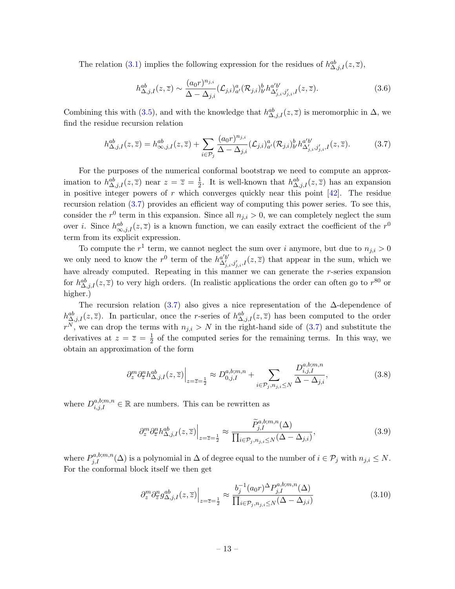The relation [\(3.1\)](#page-12-3) implies the following expression for the residues of  $h_{\Delta,j,I}^{ab}(z,\overline{z}),$ 

<span id="page-13-0"></span>
$$
h_{\Delta,j,I}^{ab}(z,\overline{z}) \sim \frac{(a_0 r)^{n_{j,i}}}{\Delta - \Delta_{j,i}} (\mathcal{L}_{j,i})_{a'}^a (\mathcal{R}_{j,i})_{b'}^b h_{\Delta'_{j,i},j'_{j,i},I}^{a'b'}(z,\overline{z}). \tag{3.6}
$$

Combining this with [\(3.5\)](#page-12-4), and with the knowledge that  $h_{\Delta,j,I}^{ab}(z,\overline{z})$  is meromorphic in  $\Delta$ , we find the residue recursion relation

$$
h_{\Delta,j,I}^{ab}(z,\overline{z}) = h_{\infty,j,I}^{ab}(z,\overline{z}) + \sum_{i \in \mathcal{P}_j} \frac{(a_0 r)^{n_{j,i}}}{\Delta - \Delta_{j,i}} (\mathcal{L}_{j,i})_{a'}^a (\mathcal{R}_{j,i})_{b'}^b h_{\Delta'_{j,i},j'_{j,i},I}^{a'b'}(z,\overline{z}). \tag{3.7}
$$

For the purposes of the numerical conformal bootstrap we need to compute an approximation to  $h_{\Delta,j,I}^{ab}(z,\overline{z})$  near  $z=\overline{z}=\frac{1}{2}$  $\frac{1}{2}$ . It is well-known that  $h_{\Delta,j,I}^{ab}(z,\overline{z})$  has an expansion in positive integer powers of r which converges quickly near this point  $[42]$ . The residue recursion relation [\(3.7\)](#page-13-0) provides an efficient way of computing this power series. To see this, consider the  $r^0$  term in this expansion. Since all  $n_{j,i} > 0$ , we can completely neglect the sum over *i*. Since  $h_{\infty,j,I}^{ab}(z,\overline{z})$  is a known function, we can easily extract the coefficient of the  $r^0$ term from its explicit expression.

To compute the  $r^1$  term, we cannot neglect the sum over i anymore, but due to  $n_{j,i} > 0$ we only need to know the  $r^0$  term of the  $h^{a'b'}_{\Delta'_{j,i},j'_{j,i},I}(z,\overline{z})$  that appear in the sum, which we have already computed. Repeating in this manner we can generate the r-series expansion for  $h_{\Delta,j,I}^{ab}(z,\overline{z})$  to very high orders. (In realistic applications the order can often go to  $r^{80}$  or higher.)

The recursion relation [\(3.7\)](#page-13-0) also gives a nice representation of the  $\Delta$ -dependence of  $h_{\Delta,j,I}^{ab}(z,\overline{z})$ . In particular, once the r-series of  $h_{\Delta,j,I}^{ab}(z,\overline{z})$  has been computed to the order  $r^N$ , we can drop the terms with  $n_{j,i} > N$  in the right-hand side of [\(3.7\)](#page-13-0) and substitute the derivatives at  $z=\overline{z}=\frac{1}{2}$  $\frac{1}{2}$  of the computed series for the remaining terms. In this way, we obtain an approximation of the form

$$
\left. \partial_z^m \partial_{\overline{z}}^n h_{\Delta,j,I}^{ab}(z,\overline{z}) \right|_{z=\overline{z}=\frac{1}{2}} \approx D_{0,j,I}^{a,b;m,n} + \sum_{i \in \mathcal{P}_j, n_{j,i} \le N} \frac{D_{i,j,I}^{a,b;m,n}}{\Delta - \Delta_{j,i}},\tag{3.8}
$$

where  $D_{i,j,I}^{a,b;m,n} \in \mathbb{R}$  are numbers. This can be rewritten as

$$
\left. \partial_z^m \partial_{\overline{z}}^n h_{\Delta,j,I}^{ab}(z,\overline{z}) \right|_{z=\overline{z}=\frac{1}{2}} \approx \frac{\widetilde{P}_{j,I}^{a,b;m,n}(\Delta)}{\prod_{i \in \mathcal{P}_j, n_{j,i} \le N} (\Delta - \Delta_{j,i})},\tag{3.9}
$$

where  $P_{j,I}^{a,b;m,n}(\Delta)$  is a polynomial in  $\Delta$  of degree equal to the number of  $i \in \mathcal{P}_j$  with  $n_{j,i} \leq N$ . For the conformal block itself we then get

<span id="page-13-1"></span>
$$
\left. \partial_z^m \partial_{\overline{z}}^n g_{\Delta,j,I}^{ab}(z,\overline{z}) \right|_{z=\overline{z}=\frac{1}{2}} \approx \frac{b_j^{-1}(a_0 r)^{\Delta} P_{j,I}^{a,b;m,n}(\Delta)}{\prod_{i \in \mathcal{P}_j, n_{j,i} \le N} (\Delta - \Delta_{j,i})} \tag{3.10}
$$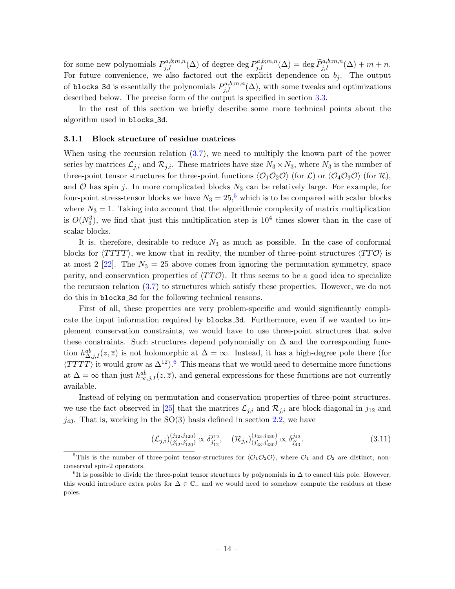for some new polynomials  $P_{j,I}^{a,b;m,n}(\Delta)$  of degree deg  $P_{j,I}^{a,b;m,n}(\Delta) = \deg \tilde{P}_{j,I}^{a,b;m,n}(\Delta) + m + n$ . For future convenience, we also factored out the explicit dependence on  $b_j$ . The output of blocks 3d is essentially the polynomials  $P_{j,I}^{a,b;m,n}(\Delta)$ , with some tweaks and optimizations described below. The precise form of the output is specified in section [3.3.](#page-17-0)

In the rest of this section we briefly describe some more technical points about the algorithm used in blocks 3d.

#### <span id="page-14-0"></span>3.1.1 Block structure of residue matrices

When using the recursion relation [\(3.7\)](#page-13-0), we need to multiply the known part of the power series by matrices  $\mathcal{L}_{j,i}$  and  $\mathcal{R}_{j,i}$ . These matrices have size  $N_3 \times N_3$ , where  $N_3$  is the number of three-point tensor structures for three-point functions  $\langle \mathcal{O}_1 \mathcal{O}_2 \mathcal{O} \rangle$  (for  $\mathcal{L}$ ) or  $\langle \mathcal{O}_4 \mathcal{O}_3 \mathcal{O} \rangle$  (for  $\mathcal{R}$ ), and  $\mathcal O$  has spin j. In more complicated blocks  $N_3$  can be relatively large. For example, for four-point stress-tensor blocks we have  $N_3 = 25$  $N_3 = 25$ , which is to be compared with scalar blocks where  $N_3 = 1$ . Taking into account that the algorithmic complexity of matrix multiplication is  $O(N_3^3)$ , we find that just this multiplication step is  $10^4$  times slower than in the case of scalar blocks.

It is, therefore, desirable to reduce  $N_3$  as much as possible. In the case of conformal blocks for  $\langle TTT \rangle$ , we know that in reality, the number of three-point structures  $\langle TT \mathcal{O} \rangle$  is at most 2 [\[22\]](#page-38-0). The  $N_3 = 25$  above comes from ignoring the permutation symmetry, space parity, and conservation properties of  $\langle TT\mathcal{O} \rangle$ . It thus seems to be a good idea to specialize the recursion relation [\(3.7\)](#page-13-0) to structures which satisfy these properties. However, we do not do this in blocks 3d for the following technical reasons.

First of all, these properties are very problem-specific and would significantly complicate the input information required by blocks 3d. Furthermore, even if we wanted to implement conservation constraints, we would have to use three-point structures that solve these constraints. Such structures depend polynomially on  $\Delta$  and the corresponding function  $h_{\Delta,j,I}^{ab}(z,\overline{z})$  is not holomorphic at  $\Delta=\infty$ . Instead, it has a high-degree pole there (for  $\langle TTTT \rangle$  it would grow as  $\Delta^{12}$ .<sup>[6](#page-14-2)</sup> This means that we would need to determine more functions at  $\Delta = \infty$  than just  $h_{\infty,j,I}^{ab}(z,\overline{z})$ , and general expressions for these functions are not currently available.

Instead of relying on permutation and conservation properties of three-point structures, we use the fact observed in [\[25\]](#page-38-3) that the matrices  $\mathcal{L}_{j,i}$  and  $\mathcal{R}_{j,i}$  are block-diagonal in  $j_{12}$  and  $j_{43}$ . That is, working in the SO(3) basis defined in section [2.2,](#page-5-0) we have

$$
(\mathcal{L}_{j,i})_{(j'_{12},j'_{120})}^{(j_{12},j_{120})} \propto \delta_{j'_{12}}^{j_{12}}, \quad (\mathcal{R}_{j,i})_{(j'_{43},j'_{430})}^{(j_{43},j_{430})} \propto \delta_{j'_{43}}^{j_{43}}.
$$
\n(3.11)

<span id="page-14-1"></span><sup>&</sup>lt;sup>5</sup>This is the number of three-point tensor-structures for  $\langle O_1O_2O\rangle$ , where  $O_1$  and  $O_2$  are distinct, nonconserved spin-2 operators.

<span id="page-14-2"></span> ${}^{6}$ It is possible to divide the three-point tensor structures by polynomials in  $\Delta$  to cancel this pole. However, this would introduce extra poles for  $\Delta \in \mathbb{C}$ , and we would need to somehow compute the residues at these poles.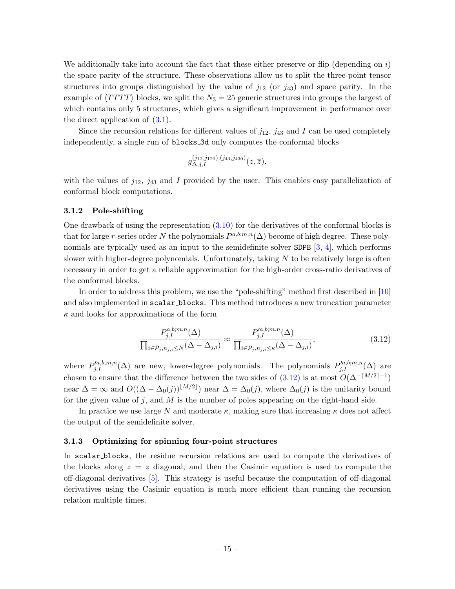We additionally take into account the fact that these either preserve or flip (depending on  $i$ ) the space parity of the structure. These observations allow us to split the three-point tensor structures into groups distinguished by the value of  $j_{12}$  (or  $j_{43}$ ) and space parity. In the example of  $\langle T T T T \rangle$  blocks, we split the  $N_3 = 25$  generic structures into groups the largest of which contains only 5 structures, which gives a significant improvement in performance over the direct application of  $(3.1)$ .

Since the recursion relations for different values of  $j_{12}$ ,  $j_{43}$  and I can be used completely independently, a single run of blocks 3d only computes the conformal blocks

$$
g^{(j_{12},j_{120}),(j_{43},j_{430})}_{\Delta,j,I}(z,\overline{z}),
$$

with the values of  $j_{12}$ ,  $j_{43}$  and I provided by the user. This enables easy parallelization of conformal block computations.

#### <span id="page-15-0"></span>3.1.2 Pole-shifting

One drawback of using the representation  $(3.10)$  for the derivatives of the conformal blocks is that for large r-series order N the polynomials  $P^{a,b;m,n}(\Delta)$  become of high degree. These poly-nomials are typically used as an input to the semidefinite solver SDPB [\[3,](#page-37-14) [4\]](#page-37-0), which performs slower with higher-degree polynomials. Unfortunately, taking  $N$  to be relatively large is often necessary in order to get a reliable approximation for the high-order cross-ratio derivatives of the conformal blocks.

In order to address this problem, we use the "pole-shifting" method first described in [\[10\]](#page-37-4) and also implemented in scalar blocks. This method introduces a new truncation parameter  $\kappa$  and looks for approximations of the form

<span id="page-15-2"></span>
$$
\frac{P_{j,I}^{a,b;m,n}(\Delta)}{\prod_{i\in\mathcal{P}_j,n_{j,i}\leq N}(\Delta-\Delta_{j,i})} \approx \frac{P_{j,I}^{\prime a,b;m,n}(\Delta)}{\prod_{i\in\mathcal{P}_j,n_{j,i}\leq\kappa}(\Delta-\Delta_{j,i})},\tag{3.12}
$$

where  $P_{j,I}^{a,b;m,n}(\Delta)$  are new, lower-degree polynomials. The polynomials  $P_{j,I}^{a,b;m,n}(\Delta)$  are chosen to ensure that the difference between the two sides of  $(3.12)$  is at most  $O(\Delta^{-\lceil M/2 \rceil-1})$ near  $\Delta = \infty$  and  $O((\Delta - \Delta_0(j))^{[M/2]})$  near  $\Delta = \Delta_0(j)$ , where  $\Delta_0(j)$  is the unitarity bound for the given value of j, and  $M$  is the number of poles appearing on the right-hand side.

In practice we use large N and moderate  $\kappa$ , making sure that increasing  $\kappa$  does not affect the output of the semidefinite solver.

#### <span id="page-15-1"></span>3.1.3 Optimizing for spinning four-point structures

In scalar blocks, the residue recursion relations are used to compute the derivatives of the blocks along  $z = \overline{z}$  diagonal, and then the Casimir equation is used to compute the off-diagonal derivatives [\[5\]](#page-37-1). This strategy is useful because the computation of off-diagonal derivatives using the Casimir equation is much more efficient than running the recursion relation multiple times.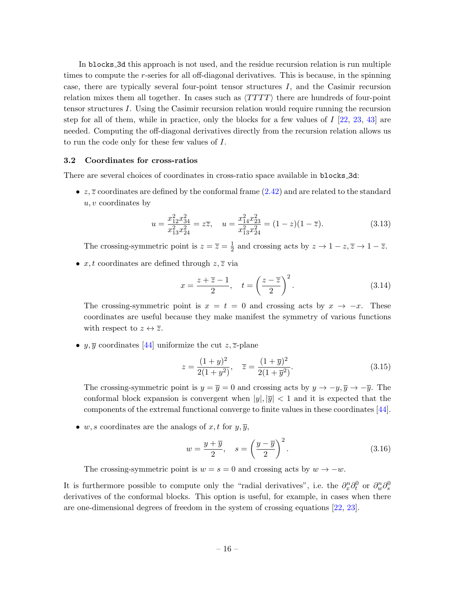In blocks 3d this approach is not used, and the residue recursion relation is run multiple times to compute the  $r$ -series for all off-diagonal derivatives. This is because, in the spinning case, there are typically several four-point tensor structures  $I$ , and the Casimir recursion relation mixes them all together. In cases such as  $\langle TTTT \rangle$  there are hundreds of four-point tensor structures I. Using the Casimir recursion relation would require running the recursion step for all of them, while in practice, only the blocks for a few values of  $I$  [\[22,](#page-38-0) [23,](#page-38-1) [43\]](#page-39-2) are needed. Computing the off-diagonal derivatives directly from the recursion relation allows us to run the code only for these few values of I.

#### <span id="page-16-0"></span>3.2 Coordinates for cross-ratios

There are several choices of coordinates in cross-ratio space available in blocks 3d:

•  $z, \overline{z}$  coordinates are defined by the conformal frame [\(2.42\)](#page-10-0) and are related to the standard  $u, v$  coordinates by

$$
u = \frac{x_{12}^2 x_{34}^2}{x_{13}^2 x_{24}^2} = z\overline{z}, \quad u = \frac{x_{14}^2 x_{23}^2}{x_{13}^2 x_{24}^2} = (1 - z)(1 - \overline{z}).\tag{3.13}
$$

The crossing-symmetric point is  $z = \overline{z} = \frac{1}{2}$  $\frac{1}{2}$  and crossing acts by  $z \to 1-z, \overline{z} \to 1-\overline{z}$ .

•  $x, t$  coordinates are defined through  $z, \overline{z}$  via

$$
x = \frac{z + \overline{z} - 1}{2}, \quad t = \left(\frac{z - \overline{z}}{2}\right)^2.
$$
 (3.14)

The crossing-symmetric point is  $x = t = 0$  and crossing acts by  $x \to -x$ . These coordinates are useful because they make manifest the symmetry of various functions with respect to  $z \leftrightarrow \overline{z}$ .

•  $y, \overline{y}$  coordinates [\[44\]](#page-39-3) uniformize the cut  $z, \overline{z}$ -plane

$$
z = \frac{(1+y)^2}{2(1+y^2)}, \quad \overline{z} = \frac{(1+\overline{y})^2}{2(1+\overline{y}^2)}.
$$
\n(3.15)

The crossing-symmetric point is  $y = \overline{y} = 0$  and crossing acts by  $y \to -y, \overline{y} \to -\overline{y}$ . The conformal block expansion is convergent when  $|y|, |\overline{y}| < 1$  and it is expected that the components of the extremal functional converge to finite values in these coordinates [\[44\]](#page-39-3).

• w, s coordinates are the analogs of x, t for  $y, \overline{y}$ ,

$$
w = \frac{y + \overline{y}}{2}, \quad s = \left(\frac{y - \overline{y}}{2}\right)^2.
$$
 (3.16)

The crossing-symmetric point is  $w = s = 0$  and crossing acts by  $w \to -w$ .

It is furthermore possible to compute only the "radial derivatives", i.e. the  $\partial_x^n \partial_t^0$  or  $\partial_w^n \partial_s^0$ derivatives of the conformal blocks. This option is useful, for example, in cases when there are one-dimensional degrees of freedom in the system of crossing equations [\[22,](#page-38-0) [23\]](#page-38-1).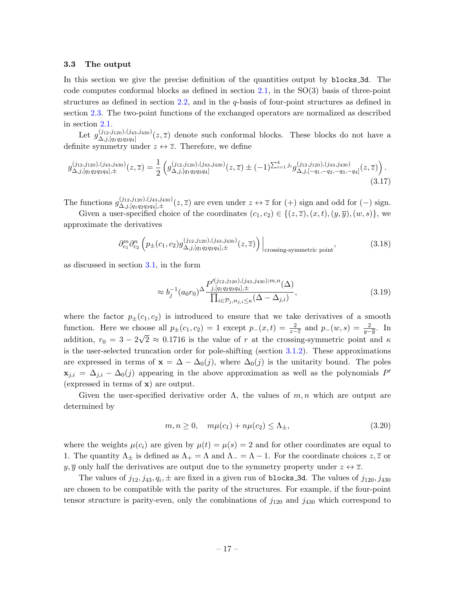#### <span id="page-17-0"></span>3.3 The output

In this section we give the precise definition of the quantities output by blocks 3d. The code computes conformal blocks as defined in section [2.1,](#page-3-1) in the  $SO(3)$  basis of three-point structures as defined in section [2.2,](#page-5-0) and in the  $q$ -basis of four-point structures as defined in section [2.3.](#page-9-0) The two-point functions of the exchanged operators are normalized as described in section [2.1.](#page-3-1)

Let  $g_{\Lambda,i}^{(j_{12},j_{120}),(j_{43},j_{430})}$  $(\Delta_{i,j,[q_1q_2q_3q_4]}^{(j_12,j_120),(j_43,j_430)}(z,\overline{z})$  denote such conformal blocks. These blocks do not have a definite symmetry under  $z \leftrightarrow \overline{z}$ . Therefore, we define

$$
g_{\Delta,j,[q_1q_2q_3q_4],\pm}^{(j_{12},j_{120}),(j_{43},j_{430})}(z,\overline{z}) = \frac{1}{2} \left( g_{\Delta,j,[q_1q_2q_3q_4]}^{(j_{12},j_{120}),(j_{43},j_{430})}(z,\overline{z}) \pm (-1)^{\sum_{i=1}^4 j_i} g_{\Delta,j,[-q_1,-q_2,-q_3,-q_4]}^{(j_{12},j_{120}),(j_{43},j_{430})}(z,\overline{z}) \right).
$$
\n(3.17)

The functions  $g_{\Delta,i}^{(j_{12},j_{120}),(j_{43},j_{430})}$  $\Delta_{i,j,[q_1q_2q_3q_4],\pm}^{(j_12,j_120),(j_43,j_430)}(z,\overline{z})$  are even under  $z \leftrightarrow \overline{z}$  for  $(+)$  sign and odd for  $(-)$  sign.

Given a user-specified choice of the coordinates  $(c_1, c_2) \in \{(z, \overline{z}), (x, t), (y, \overline{y}), (w, s)\}\,$  we approximate the derivatives

$$
\partial_{c_1}^{m} \partial_{c_2}^{n} \left( p_{\pm}(c_1, c_2) g_{\Delta, j, [q_1 q_2 q_3 q_4], \pm}^{(j_{12}, j_{120}), (j_{43}, j_{430})}(z, \overline{z}) \right) \Big|_{\text{crossing-symmetric point}}, \tag{3.18}
$$

as discussed in section [3.1,](#page-12-1) in the form

<span id="page-17-1"></span>
$$
\approx b_j^{-1} (a_0 r_0)^{\Delta} \frac{P_{j,[q_1 q_2 q_3 q_4],\pm}^{J(j_{12},j_{120}),(j_{43},j_{430});m,n}(\Delta)}{\prod_{i \in \mathcal{P}_j, n_{j,i} \le \kappa} (\Delta - \Delta_{j,i})},
$$
\n(3.19)

where the factor  $p_{\pm}(c_1, c_2)$  is introduced to ensure that we take derivatives of a smooth function. Here we choose all  $p_{\pm}(c_1, c_2) = 1$  except  $p_{-}(x, t) = \frac{2}{z-\overline{z}}$  and  $p_{-}(w, s) = \frac{2}{y-\overline{y}}$ . In addition,  $r_0 = 3 - 2\sqrt{2} \approx 0.1716$  is the value of r at the crossing-symmetric point and  $\kappa$ is the user-selected truncation order for pole-shifting (section [3.1.2\)](#page-15-0). These approximations are expressed in terms of  $\mathbf{x} = \Delta - \Delta_0(j)$ , where  $\Delta_0(j)$  is the unitarity bound. The poles  $\mathbf{x}_{j,i} = \Delta_{j,i} - \Delta_0(j)$  appearing in the above approximation as well as the polynomials P' (expressed in terms of x) are output.

Given the user-specified derivative order  $\Lambda$ , the values of  $m, n$  which are output are determined by

$$
m, n \ge 0, \quad m\mu(c_1) + n\mu(c_2) \le \Lambda_{\pm}, \tag{3.20}
$$

where the weights  $\mu(c_i)$  are given by  $\mu(t) = \mu(s) = 2$  and for other coordinates are equal to 1. The quantity  $\Lambda_{\pm}$  is defined as  $\Lambda_{+} = \Lambda$  and  $\Lambda_{-} = \Lambda - 1$ . For the coordinate choices  $z, \overline{z}$  or  $y, \overline{y}$  only half the derivatives are output due to the symmetry property under  $z \leftrightarrow \overline{z}$ .

The values of  $j_{12}, j_{43}, q_i, \pm$  are fixed in a given run of blocks 3d. The values of  $j_{120}, j_{430}$ are chosen to be compatible with the parity of the structures. For example, if the four-point tensor structure is parity-even, only the combinations of  $j_{120}$  and  $j_{430}$  which correspond to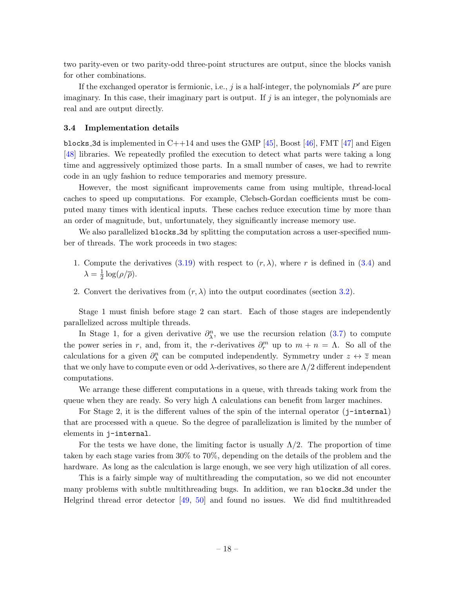two parity-even or two parity-odd three-point structures are output, since the blocks vanish for other combinations.

If the exchanged operator is fermionic, i.e., j is a half-integer, the polynomials  $P'$  are pure imaginary. In this case, their imaginary part is output. If  $j$  is an integer, the polynomials are real and are output directly.

#### <span id="page-18-0"></span>3.4 Implementation details

blocks 3d is implemented in  $C++14$  and uses the GMP [\[45\]](#page-39-4), Boost [\[46\]](#page-39-5), FMT [\[47\]](#page-39-6) and Eigen [\[48\]](#page-39-7) libraries. We repeatedly profiled the execution to detect what parts were taking a long time and aggressively optimized those parts. In a small number of cases, we had to rewrite code in an ugly fashion to reduce temporaries and memory pressure.

However, the most significant improvements came from using multiple, thread-local caches to speed up computations. For example, Clebsch-Gordan coefficients must be computed many times with identical inputs. These caches reduce execution time by more than an order of magnitude, but, unfortunately, they significantly increase memory use.

We also parallelized **blocks** 3d by splitting the computation across a user-specified number of threads. The work proceeds in two stages:

- 1. Compute the derivatives [\(3.19\)](#page-17-1) with respect to  $(r, \lambda)$ , where r is defined in [\(3.4\)](#page-12-5) and  $\lambda = \frac{1}{2}$  $rac{1}{2}\log(\rho/\overline{\rho}).$
- 2. Convert the derivatives from  $(r, \lambda)$  into the output coordinates (section [3.2\)](#page-16-0).

Stage 1 must finish before stage 2 can start. Each of those stages are independently parallelized across multiple threads.

In Stage 1, for a given derivative  $\partial_{\lambda}^{n}$ , we use the recursion relation [\(3.7\)](#page-13-0) to compute the power series in r, and, from it, the r-derivatives  $\partial_r^m$  up to  $m + n = \Lambda$ . So all of the calculations for a given  $\partial_{\lambda}^{n}$  can be computed independently. Symmetry under  $z \leftrightarrow \overline{z}$  mean that we only have to compute even or odd  $\lambda$ -derivatives, so there are  $\Lambda/2$  different independent computations.

We arrange these different computations in a queue, with threads taking work from the queue when they are ready. So very high  $\Lambda$  calculations can benefit from larger machines.

For Stage 2, it is the different values of the spin of the internal operator  $(i-internal)$ that are processed with a queue. So the degree of parallelization is limited by the number of elements in j-internal.

For the tests we have done, the limiting factor is usually  $\Lambda/2$ . The proportion of time taken by each stage varies from 30% to 70%, depending on the details of the problem and the hardware. As long as the calculation is large enough, we see very high utilization of all cores.

This is a fairly simple way of multithreading the computation, so we did not encounter many problems with subtle multithreading bugs. In addition, we ran blocks 3d under the Helgrind thread error detector [\[49,](#page-39-8) [50\]](#page-39-9) and found no issues. We did find multithreaded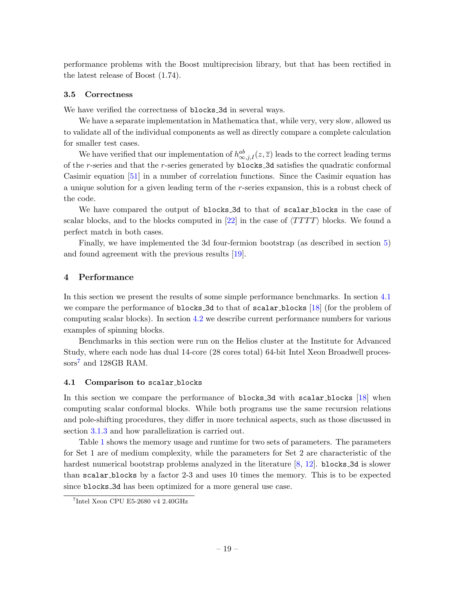performance problems with the Boost multiprecision library, but that has been rectified in the latest release of Boost (1.74).

### <span id="page-19-0"></span>3.5 Correctness

We have verified the correctness of blocks 3d in several ways.

We have a separate implementation in Mathematica that, while very, very slow, allowed us to validate all of the individual components as well as directly compare a complete calculation for smaller test cases.

We have verified that our implementation of  $h^{ab}_{\infty,j,I}(z,\overline{z})$  leads to the correct leading terms of the r-series and that the r-series generated by blocks 3d satisfies the quadratic conformal Casimir equation [\[51\]](#page-39-10) in a number of correlation functions. Since the Casimir equation has a unique solution for a given leading term of the r-series expansion, this is a robust check of the code.

We have compared the output of blocks 3d to that of scalar blocks in the case of scalar blocks, and to the blocks computed in  $[22]$  in the case of  $\langle TTTT \rangle$  blocks. We found a perfect match in both cases.

Finally, we have implemented the 3d four-fermion bootstrap (as described in section [5\)](#page-24-0) and found agreement with the previous results [\[19\]](#page-37-12).

### <span id="page-19-1"></span>4 Performance

In this section we present the results of some simple performance benchmarks. In section [4.1](#page-19-2) we compare the performance of blocks 3d to that of scalar blocks [\[18\]](#page-37-11) (for the problem of computing scalar blocks). In section [4.2](#page-20-0) we describe current performance numbers for various examples of spinning blocks.

Benchmarks in this section were run on the Helios cluster at the Institute for Advanced Study, where each node has dual 14-core (28 cores total) 64-bit Intel Xeon Broadwell proces-sors<sup>[7](#page-19-3)</sup> and 128GB RAM.

### <span id="page-19-2"></span>4.1 Comparison to scalar blocks

In this section we compare the performance of blocks 3d with scalar blocks [\[18\]](#page-37-11) when computing scalar conformal blocks. While both programs use the same recursion relations and pole-shifting procedures, they differ in more technical aspects, such as those discussed in section [3.1.3](#page-15-1) and how parallelization is carried out.

Table [1](#page-20-1) shows the memory usage and runtime for two sets of parameters. The parameters for Set 1 are of medium complexity, while the parameters for Set 2 are characteristic of the hardest numerical bootstrap problems analyzed in the literature  $[8, 12]$  $[8, 12]$  $[8, 12]$ . blocks 3d is slower than scalar blocks by a factor 2-3 and uses 10 times the memory. This is to be expected since blocks 3d has been optimized for a more general use case.

<span id="page-19-3"></span><sup>7</sup> Intel Xeon CPU E5-2680 v4 2.40GHz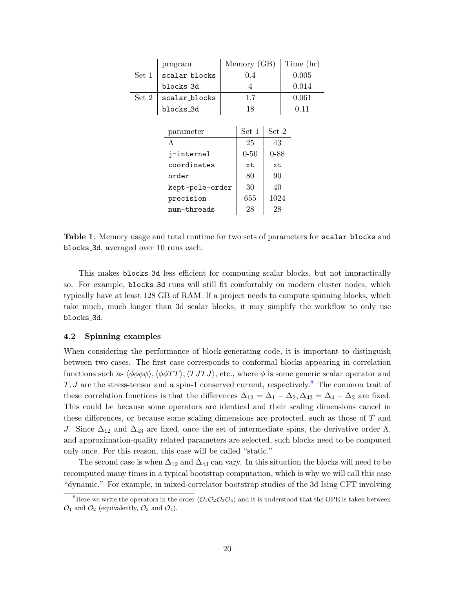<span id="page-20-1"></span>

|                 | program       | Memory (GB) |          | Time (hr) |       |
|-----------------|---------------|-------------|----------|-----------|-------|
| Set 1           | scalar_blocks |             | 0.4      |           | 0.005 |
|                 | blocks_3d     | 4           |          |           | 0.014 |
| Set 2           | scalar blocks |             | 1.7      |           | 0.061 |
|                 | blocks_3d     |             | 18       |           | 0.11  |
|                 |               |             |          |           |       |
|                 | parameter     |             | Set 1    | Set 2     |       |
| $\Lambda$       |               |             | 25       | 43        |       |
| j-internal      |               |             | $0 - 50$ | $0 - 88$  |       |
| coordinates     |               |             | хt       | xt        |       |
| order           |               |             | 80       | 90        |       |
| kept-pole-order |               |             | 30       | 40        |       |
| precision       |               |             | 655      | 1024      |       |
| num-threads     |               |             | 28       | 28        |       |

Table 1: Memory usage and total runtime for two sets of parameters for scalar blocks and blocks 3d, averaged over 10 runs each.

This makes blocks 3d less efficient for computing scalar blocks, but not impractically so. For example, blocks 3d runs will still fit comfortably on modern cluster nodes, which typically have at least 128 GB of RAM. If a project needs to compute spinning blocks, which take much, much longer than 3d scalar blocks, it may simplify the workflow to only use blocks 3d.

#### <span id="page-20-0"></span>4.2 Spinning examples

When considering the performance of block-generating code, it is important to distinguish between two cases. The first case corresponds to conformal blocks appearing in correlation functions such as  $\langle \phi \phi \phi \phi \rangle$ ,  $\langle \phi \phi TT \rangle$ ,  $\langle T J T J \rangle$ , etc., where  $\phi$  is some generic scalar operator and  $T, J$  are the stress-tensor and a spin-1 conserved current, respectively.<sup>[8](#page-20-2)</sup> The common trait of these correlation functions is that the differences  $\Delta_{12} = \Delta_1 - \Delta_2$ ,  $\Delta_{43} = \Delta_4 - \Delta_3$  are fixed. This could be because some operators are identical and their scaling dimensions cancel in these differences, or because some scaling dimensions are protected, such as those of T and J. Since  $\Delta_{12}$  and  $\Delta_{43}$  are fixed, once the set of intermediate spins, the derivative order  $\Lambda$ , and approximation-quality related parameters are selected, such blocks need to be computed only once. For this reason, this case will be called "static."

The second case is when  $\Delta_{12}$  and  $\Delta_{43}$  can vary. In this situation the blocks will need to be recomputed many times in a typical bootstrap computation, which is why we will call this case "dynamic." For example, in mixed-correlator bootstrap studies of the 3d Ising CFT involving

<span id="page-20-2"></span><sup>&</sup>lt;sup>8</sup>Here we write the operators in the order  $\langle \mathcal{O}_1 \mathcal{O}_2 \mathcal{O}_3 \mathcal{O}_4 \rangle$  and it is understood that the OPE is taken between  $\mathcal{O}_1$  and  $\mathcal{O}_2$  (equivalently,  $\mathcal{O}_3$  and  $\mathcal{O}_4$ ).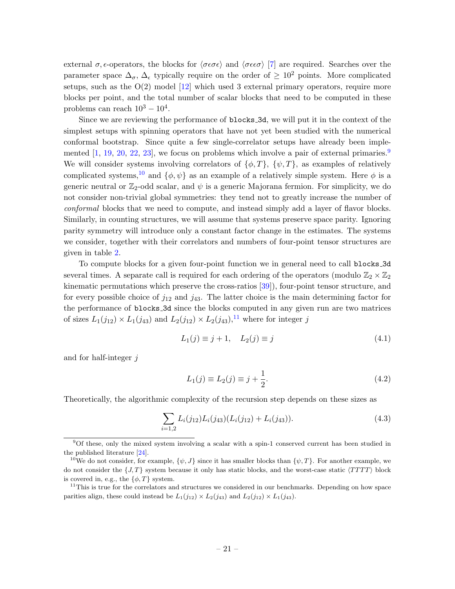external  $\sigma$ ,  $\epsilon$ -operators, the blocks for  $\langle \sigma \epsilon \sigma \epsilon \rangle$  and  $\langle \sigma \epsilon \epsilon \sigma \rangle$  [\[7\]](#page-37-8) are required. Searches over the parameter space  $\Delta_{\sigma}$ ,  $\Delta_{\epsilon}$  typically require on the order of  $\geq 10^2$  points. More complicated setups, such as the  $O(2)$  model  $[12]$  which used 3 external primary operators, require more blocks per point, and the total number of scalar blocks that need to be computed in these problems can reach  $10^3 - 10^4$ .

Since we are reviewing the performance of blocks 3d, we will put it in the context of the simplest setups with spinning operators that have not yet been studied with the numerical conformal bootstrap. Since quite a few single-correlator setups have already been implemented  $[1, 19, 20, 22, 23]$  $[1, 19, 20, 22, 23]$  $[1, 19, 20, 22, 23]$  $[1, 19, 20, 22, 23]$  $[1, 19, 20, 22, 23]$  $[1, 19, 20, 22, 23]$  $[1, 19, 20, 22, 23]$  $[1, 19, 20, 22, 23]$  $[1, 19, 20, 22, 23]$ , we focus on problems which involve a pair of external primaries.<sup>[9](#page-21-0)</sup> We will consider systems involving correlators of  $\{\phi, T\}$ ,  $\{\psi, T\}$ , as examples of relatively complicated systems,<sup>[10](#page-21-1)</sup> and  $\{\phi, \psi\}$  as an example of a relatively simple system. Here  $\phi$  is a generic neutral or  $\mathbb{Z}_2$ -odd scalar, and  $\psi$  is a generic Majorana fermion. For simplicity, we do not consider non-trivial global symmetries: they tend not to greatly increase the number of conformal blocks that we need to compute, and instead simply add a layer of flavor blocks. Similarly, in counting structures, we will assume that systems preserve space parity. Ignoring parity symmetry will introduce only a constant factor change in the estimates. The systems we consider, together with their correlators and numbers of four-point tensor structures are given in table [2.](#page-22-0)

To compute blocks for a given four-point function we in general need to call blocks 3d several times. A separate call is required for each ordering of the operators (modulo  $\mathbb{Z}_2 \times \mathbb{Z}_2$ kinematic permutations which preserve the cross-ratios [\[39\]](#page-38-7)), four-point tensor structure, and for every possible choice of  $j_{12}$  and  $j_{43}$ . The latter choice is the main determining factor for the performance of blocks 3d since the blocks computed in any given run are two matrices of sizes  $L_1(j_{12}) \times L_1(j_{43})$  and  $L_2(j_{12}) \times L_2(j_{43})$ ,<sup>[11](#page-21-2)</sup> where for integer j

$$
L_1(j) \equiv j+1, \quad L_2(j) \equiv j \tag{4.1}
$$

and for half-integer j

<span id="page-21-3"></span>
$$
L_1(j) \equiv L_2(j) \equiv j + \frac{1}{2}.\tag{4.2}
$$

Theoretically, the algorithmic complexity of the recursion step depends on these sizes as

$$
\sum_{i=1,2} L_i(j_{12}) L_i(j_{43}) (L_i(j_{12}) + L_i(j_{43})).
$$
\n(4.3)

<span id="page-21-0"></span><sup>9</sup>Of these, only the mixed system involving a scalar with a spin-1 conserved current has been studied in the published literature [\[24\]](#page-38-2).

<span id="page-21-1"></span><sup>&</sup>lt;sup>10</sup>We do not consider, for example,  $\{\psi, J\}$  since it has smaller blocks than  $\{\psi, T\}$ . For another example, we do not consider the  $\{J, T\}$  system because it only has static blocks, and the worst-case static  $\langle TTTT \rangle$  block is covered in, e.g., the  $\{\phi, T\}$  system.

<span id="page-21-2"></span><sup>&</sup>lt;sup>11</sup>This is true for the correlators and structures we considered in our benchmarks. Depending on how space parities align, these could instead be  $L_1(j_{12}) \times L_2(j_{43})$  and  $L_2(j_{12}) \times L_1(j_{43})$ .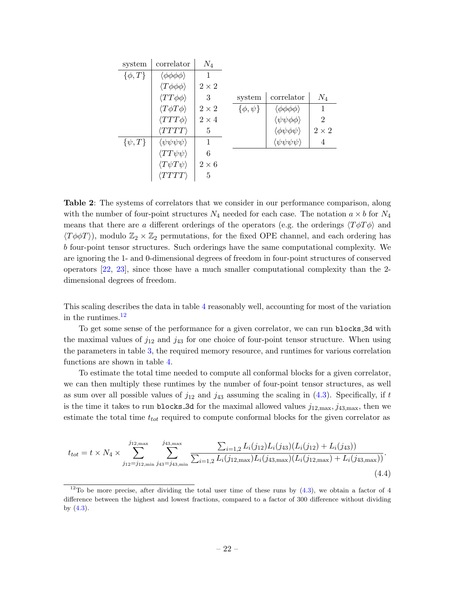<span id="page-22-0"></span>

| system        | correlator                            | $N_4$        |                 |                                       |                |
|---------------|---------------------------------------|--------------|-----------------|---------------------------------------|----------------|
| $\{\phi, T\}$ | $\langle \phi \phi \phi \phi \rangle$ |              |                 |                                       |                |
|               | $\langle T\phi\phi\phi\rangle$        | $2\times 2$  |                 |                                       |                |
|               | $\langle TT\phi\phi \rangle$          | 3            | system          | correlator                            | $N_4$          |
|               | $\langle T\phi T\phi\rangle$          | $2\times 2$  | $\{\phi,\psi\}$ | $\langle \phi \phi \phi \phi \rangle$ | 1              |
|               | $\langle TTT\phi\rangle$              | $2 \times 4$ |                 | $\langle \psi \psi \phi \phi \rangle$ | $\overline{2}$ |
|               | $\langle TTTT\rangle$                 | 5            |                 | $\langle \phi \psi \phi \psi \rangle$ | $2\times 2$    |
| $\{\psi, T\}$ | $\langle \psi \psi \psi \psi \rangle$ | 1            |                 | $\langle \psi \psi \psi \psi \rangle$ | 4              |
|               | $\langle TT\psi\psi \rangle$          | 6            |                 |                                       |                |
|               | $\langle T \psi T \psi \rangle$       | $2\times 6$  |                 |                                       |                |
|               | 'TTTTT'                               | 5            |                 |                                       |                |

Table 2: The systems of correlators that we consider in our performance comparison, along with the number of four-point structures  $N_4$  needed for each case. The notation  $a \times b$  for  $N_4$ means that there are a different orderings of the operators (e.g. the orderings  $\langle T\phi T\phi\rangle$ ) and  $\langle T\phi\phi T \rangle$ , modulo  $\mathbb{Z}_2 \times \mathbb{Z}_2$  permutations, for the fixed OPE channel, and each ordering has b four-point tensor structures. Such orderings have the same computational complexity. We are ignoring the 1- and 0-dimensional degrees of freedom in four-point structures of conserved operators [\[22,](#page-38-0) [23\]](#page-38-1), since those have a much smaller computational complexity than the 2 dimensional degrees of freedom.

This scaling describes the data in table [4](#page-23-0) reasonably well, accounting for most of the variation in the runtimes.[12](#page-22-1)

To get some sense of the performance for a given correlator, we can run blocks 3d with the maximal values of  $j_{12}$  and  $j_{43}$  for one choice of four-point tensor structure. When using the parameters in table [3,](#page-23-1) the required memory resource, and runtimes for various correlation functions are shown in table [4.](#page-23-0)

To estimate the total time needed to compute all conformal blocks for a given correlator, we can then multiply these runtimes by the number of four-point tensor structures, as well as sum over all possible values of  $j_{12}$  and  $j_{43}$  assuming the scaling in [\(4.3\)](#page-21-3). Specifically, if t is the time it takes to run blocks 3d for the maximal allowed values  $j_{12,\text{max}}, j_{43,\text{max}},$  then we estimate the total time  $t_{tot}$  required to compute conformal blocks for the given correlator as

$$
t_{tot} = t \times N_4 \times \sum_{j_{12}=j_{12,\min}}^{j_{12,\max}} \sum_{j_{43}=j_{43,\min}}^{j_{43,\max}} \frac{\sum_{i=1,2} L_i(j_{12}) L_i(j_{43}) (L_i(j_{12}) + L_i(j_{43}))}{\sum_{i=1,2} L_i(j_{12,\max}) L_i(j_{43,\max}) (L_i(j_{12,\max}) + L_i(j_{43,\max}))}.
$$
\n(4.4)

<span id="page-22-1"></span><sup>&</sup>lt;sup>12</sup>To be more precise, after dividing the total user time of these runs by  $(4.3)$ , we obtain a factor of 4 difference between the highest and lowest fractions, compared to a factor of 300 difference without dividing by  $(4.3)$ .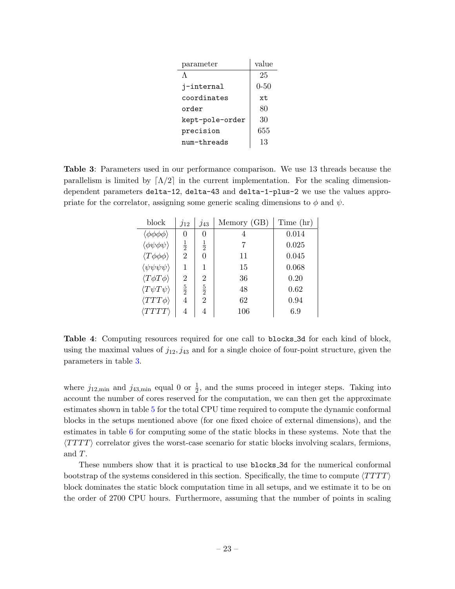| parameter       | value    |
|-----------------|----------|
| $\Lambda$       | 25       |
| j-internal      | $0 - 50$ |
| coordinates     | xt.      |
| order           | 80       |
| kept-pole-order | 30       |
| precision       | 655      |
| num-threads     | 13       |

<span id="page-23-1"></span><span id="page-23-0"></span>Table 3: Parameters used in our performance comparison. We use 13 threads because the parallelism is limited by  $\lceil \Lambda/2 \rceil$  in the current implementation. For the scaling dimensiondependent parameters delta-12, delta-43 and delta-1-plus-2 we use the values appropriate for the correlator, assigning some generic scaling dimensions to  $\phi$  and  $\psi$ .

| block                                 | $j_{12}$       | $j_{43}$       | Memory (GB) | Time (hr) |
|---------------------------------------|----------------|----------------|-------------|-----------|
| $\langle \phi \phi \phi \phi \rangle$ | 0              | 0              | 4           | 0.014     |
| $\langle \phi \psi \phi \psi \rangle$ | $\frac{1}{2}$  | $\frac{1}{2}$  | 7           | 0.025     |
| $\langle T\phi\phi\phi\rangle$        | $\overline{2}$ | 0              | 11          | 0.045     |
| $\langle \psi \psi \psi \psi \rangle$ | 1              | 1              | 15          | 0.068     |
| $\langle T\phi T\phi\rangle$          | $\overline{2}$ | $\overline{2}$ | 36          | 0.20      |
| $\langle T\psi T\psi\rangle$          | $\frac{5}{2}$  | $\frac{5}{2}$  | 48          | 0.62      |
| $\langle TTT\phi\rangle$              | 4              | $\overline{2}$ | 62          | 0.94      |
| $\langle TTTT \rangle$                | 4              | 4              | 106         | 6.9       |

Table 4: Computing resources required for one call to blocks 3d for each kind of block, using the maximal values of  $j_{12}, j_{43}$  and for a single choice of four-point structure, given the parameters in table [3.](#page-23-1)

where  $j_{12,\text{min}}$  and  $j_{43,\text{min}}$  equal 0 or  $\frac{1}{2}$ , and the sums proceed in integer steps. Taking into account the number of cores reserved for the computation, we can then get the approximate estimates shown in table [5](#page-24-2) for the total CPU time required to compute the dynamic conformal blocks in the setups mentioned above (for one fixed choice of external dimensions), and the estimates in table [6](#page-24-3) for computing some of the static blocks in these systems. Note that the  $\langle TTTT \rangle$  correlator gives the worst-case scenario for static blocks involving scalars, fermions, and T.

These numbers show that it is practical to use blocks 3d for the numerical conformal bootstrap of the systems considered in this section. Specifically, the time to compute  $\langle T T T T \rangle$ block dominates the static block computation time in all setups, and we estimate it to be on the order of 2700 CPU hours. Furthermore, assuming that the number of points in scaling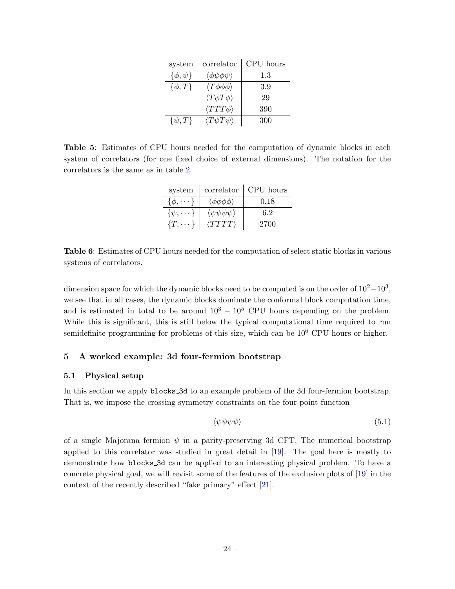| system          | correlator                            | CPU hours |
|-----------------|---------------------------------------|-----------|
| $\{\phi,\psi\}$ | $\langle \phi \psi \phi \psi \rangle$ | 1.3       |
| $\{\phi, T\}$   | $\langle T\phi\phi\phi\rangle$        | 3.9       |
|                 | $\langle T\phi T\phi\rangle$          | 29        |
|                 | $\langle TTT\phi\rangle$              | 390       |
| $\{\psi, T\}$   | $\langle T\psi T\psi\rangle$          | 300       |

<span id="page-24-3"></span><span id="page-24-2"></span>Table 5: Estimates of CPU hours needed for the computation of dynamic blocks in each system of correlators (for one fixed choice of external dimensions). The notation for the correlators is the same as in table [2.](#page-22-0)

| system             | correlator                            | CPU hours |
|--------------------|---------------------------------------|-----------|
| $\{\phi, \dots\}$  | $\langle \phi \phi \phi \phi \rangle$ | 0.18      |
| $\{\psi, \cdots\}$ | $\langle \psi \psi \psi \psi \rangle$ | 62        |
| $\{T,\cdots\}$     | $\langle TTTT \rangle$                | 2700      |

Table 6: Estimates of CPU hours needed for the computation of select static blocks in various systems of correlators.

dimension space for which the dynamic blocks need to be computed is on the order of  $10^2-10^3$ , we see that in all cases, the dynamic blocks dominate the conformal block computation time, and is estimated in total to be around  $10^3 - 10^5$  CPU hours depending on the problem. While this is significant, this is still below the typical computational time required to run semidefinite programming for problems of this size, which can be  $10^6$  CPU hours or higher.

### <span id="page-24-0"></span>5 A worked example: 3d four-fermion bootstrap

### <span id="page-24-1"></span>5.1 Physical setup

In this section we apply blocks 3d to an example problem of the 3d four-fermion bootstrap. That is, we impose the crossing symmetry constraints on the four-point function

$$
\langle \psi \psi \psi \psi \rangle \tag{5.1}
$$

of a single Majorana fermion  $\psi$  in a parity-preserving 3d CFT. The numerical bootstrap applied to this correlator was studied in great detail in [\[19\]](#page-37-12). The goal here is mostly to demonstrate how blocks 3d can be applied to an interesting physical problem. To have a concrete physical goal, we will revisit some of the features of the exclusion plots of [\[19\]](#page-37-12) in the context of the recently described "fake primary" effect [\[21\]](#page-37-13).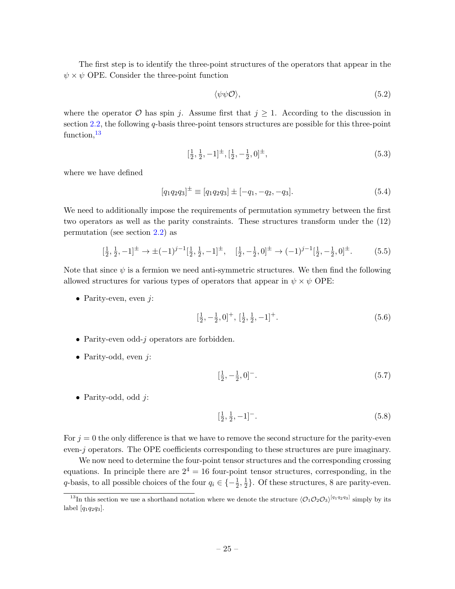The first step is to identify the three-point structures of the operators that appear in the  $\psi \times \psi$  OPE. Consider the three-point function

$$
\langle \psi \psi \mathcal{O} \rangle, \tag{5.2}
$$

where the operator  $\mathcal O$  has spin j. Assume first that  $j \geq 1$ . According to the discussion in section [2.2,](#page-5-0) the following q-basis three-point tensors structures are possible for this three-point function,  $13$ 

$$
[\frac{1}{2}, \frac{1}{2}, -1]^\pm, [\frac{1}{2}, -\frac{1}{2}, 0]^\pm,\tag{5.3}
$$

where we have defined

$$
[q_1 q_2 q_3]^{\pm} \equiv [q_1 q_2 q_3] \pm [-q_1, -q_2, -q_3]. \tag{5.4}
$$

We need to additionally impose the requirements of permutation symmetry between the first two operators as well as the parity constraints. These structures transform under the (12) permutation (see section [2.2\)](#page-5-0) as

$$
[\frac{1}{2}, \frac{1}{2}, -1]^\pm \to \pm (-1)^{j-1} [\frac{1}{2}, \frac{1}{2}, -1]^\pm, \quad [\frac{1}{2}, -\frac{1}{2}, 0]^\pm \to (-1)^{j-1} [\frac{1}{2}, -\frac{1}{2}, 0]^\pm. \tag{5.5}
$$

Note that since  $\psi$  is a fermion we need anti-symmetric structures. We then find the following allowed structures for various types of operators that appear in  $\psi \times \psi$  OPE:

• Parity-even, even  $j$ :

$$
[\frac{1}{2}, -\frac{1}{2}, 0]^+, [\frac{1}{2}, \frac{1}{2}, -1]^+.
$$
\n(5.6)

- Parity-even odd- $j$  operators are forbidden.
- Parity-odd, even  $i$ :

$$
\left[\frac{1}{2}, -\frac{1}{2}, 0\right]^{-}.
$$
\n(5.7)

• Parity-odd, odd  $i$ :

$$
[\frac{1}{2}, \frac{1}{2}, -1]^{-}.
$$
\n(5.8)

For  $j = 0$  the only difference is that we have to remove the second structure for the parity-even even-j operators. The OPE coefficients corresponding to these structures are pure imaginary.

We now need to determine the four-point tensor structures and the corresponding crossing equations. In principle there are  $2^4 = 16$  four-point tensor structures, corresponding, in the q-basis, to all possible choices of the four  $q_i \in \{-\frac{1}{2},\frac{1}{2}\}$  $\frac{1}{2}$ . Of these structures, 8 are parity-even.

<span id="page-25-0"></span><sup>&</sup>lt;sup>13</sup>In this section we use a shorthand notation where we denote the structure  $\langle \mathcal{O}_1 \mathcal{O}_2 \mathcal{O}_3 \rangle^{[q_1q_2q_3]}$  simply by its label  $[q_1q_2q_3]$ .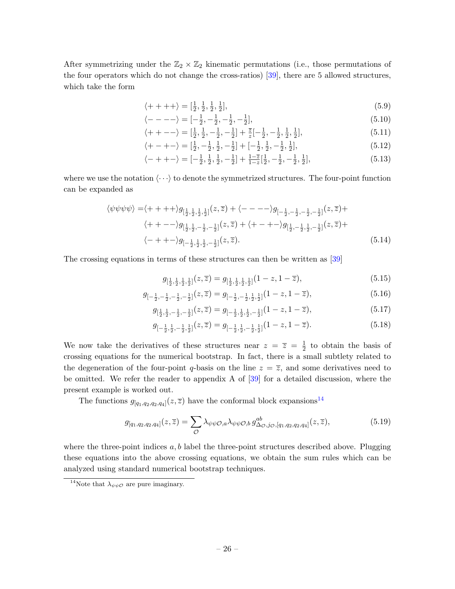After symmetrizing under the  $\mathbb{Z}_2 \times \mathbb{Z}_2$  kinematic permutations (i.e., those permutations of the four operators which do not change the cross-ratios) [\[39\]](#page-38-7), there are 5 allowed structures, which take the form

$$
\langle + + + + \rangle = [\frac{1}{2}, \frac{1}{2}, \frac{1}{2}, \frac{1}{2}], \tag{5.9}
$$

<span id="page-26-1"></span>
$$
\langle - - - - \rangle = [-\frac{1}{2}, -\frac{1}{2}, -\frac{1}{2}, -\frac{1}{2}],\tag{5.10}
$$

$$
\langle++--\rangle = \left[\frac{1}{2},\frac{1}{2},-\frac{1}{2},-\frac{1}{2}\right] + \frac{\overline{z}}{z} \left[-\frac{1}{2},-\frac{1}{2},\frac{1}{2},\frac{1}{2}\right],\tag{5.11}
$$

<span id="page-26-2"></span>
$$
\langle + - + - \rangle = \left[\frac{1}{2}, -\frac{1}{2}, \frac{1}{2}, -\frac{1}{2}\right] + \left[-\frac{1}{2}, \frac{1}{2}, -\frac{1}{2}, \frac{1}{2}\right],\tag{5.12}
$$

$$
\langle -++- \rangle = [-\frac{1}{2}, \frac{1}{2}, \frac{1}{2}, -\frac{1}{2}] + \frac{1-\overline{z}}{1-z}[\frac{1}{2}, -\frac{1}{2}, -\frac{1}{2}, \frac{1}{2}], \tag{5.13}
$$

where we use the notation  $\langle \cdots \rangle$  to denote the symmetrized structures. The four-point function can be expanded as

$$
\langle \psi \psi \psi \rangle = \langle + + + + \rangle g_{\left[\frac{1}{2}, \frac{1}{2}, \frac{1}{2}, \frac{1}{2}\right]}(z, \overline{z}) + \langle - - - - \rangle g_{\left[-\frac{1}{2}, -\frac{1}{2}, -\frac{1}{2}, -\frac{1}{2}\right]}(z, \overline{z}) +
$$
  

$$
\langle + + - - \rangle g_{\left[\frac{1}{2}, \frac{1}{2}, -\frac{1}{2}, -\frac{1}{2}\right]}(z, \overline{z}) + \langle + - + - \rangle g_{\left[\frac{1}{2}, -\frac{1}{2}, \frac{1}{2}, -\frac{1}{2}\right]}(z, \overline{z}) +
$$
  

$$
\langle - + + - \rangle g_{\left[-\frac{1}{2}, \frac{1}{2}, \frac{1}{2}, -\frac{1}{2}\right]}(z, \overline{z}). \tag{5.14}
$$

The crossing equations in terms of these structures can then be written as [\[39\]](#page-38-7)

$$
g_{\left[\frac{1}{2},\frac{1}{2},\frac{1}{2},\frac{1}{2}\right]}(z,\overline{z}) = g_{\left[\frac{1}{2},\frac{1}{2},\frac{1}{2},\frac{1}{2}\right]}(1-z,1-\overline{z}),\tag{5.15}
$$

$$
g_{\left[-\frac{1}{2},-\frac{1}{2},-\frac{1}{2},-\frac{1}{2}\right]}(z,\overline{z}) = g_{\left[-\frac{1}{2},-\frac{1}{2},\frac{1}{2},\frac{1}{2}\right]}(1-z,1-\overline{z}),\tag{5.16}
$$

$$
g_{\left[\frac{1}{2},\frac{1}{2},-\frac{1}{2},-\frac{1}{2}\right]}(z,\overline{z}) = g_{\left[-\frac{1}{2},\frac{1}{2},\frac{1}{2},-\frac{1}{2}\right]}(1-z,1-\overline{z}),\tag{5.17}
$$

$$
g_{\left[-\frac{1}{2},\frac{1}{2},-\frac{1}{2},\frac{1}{2}\right]}(z,\overline{z}) = g_{\left[-\frac{1}{2},\frac{1}{2},-\frac{1}{2},\frac{1}{2}\right]}(1-z,1-\overline{z}).\tag{5.18}
$$

We now take the derivatives of these structures near  $z = \overline{z} = \frac{1}{2}$  $\frac{1}{2}$  to obtain the basis of crossing equations for the numerical bootstrap. In fact, there is a small subtlety related to the degeneration of the four-point q-basis on the line  $z = \overline{z}$ , and some derivatives need to be omitted. We refer the reader to appendix A of [\[39\]](#page-38-7) for a detailed discussion, where the present example is worked out.

The functions  $g_{[q_1,q_2,q_2,q_4]}(z,\overline{z})$  have the conformal block expansions<sup>[14](#page-26-0)</sup>

$$
g_{[q_1,q_2,q_2,q_4]}(z,\overline{z}) = \sum_{\mathcal{O}} \lambda_{\psi\psi\mathcal{O},a} \lambda_{\psi\psi\mathcal{O},b} g^{ab}_{\Delta_{\mathcal{O}},j_{\mathcal{O}},[q_1,q_2,q_2,q_4]}(z,\overline{z}), \tag{5.19}
$$

where the three-point indices  $a, b$  label the three-point structures described above. Plugging these equations into the above crossing equations, we obtain the sum rules which can be analyzed using standard numerical bootstrap techniques.

<span id="page-26-0"></span><sup>&</sup>lt;sup>14</sup>Note that  $\lambda_{\psi\psi\mathcal{O}}$  are pure imaginary.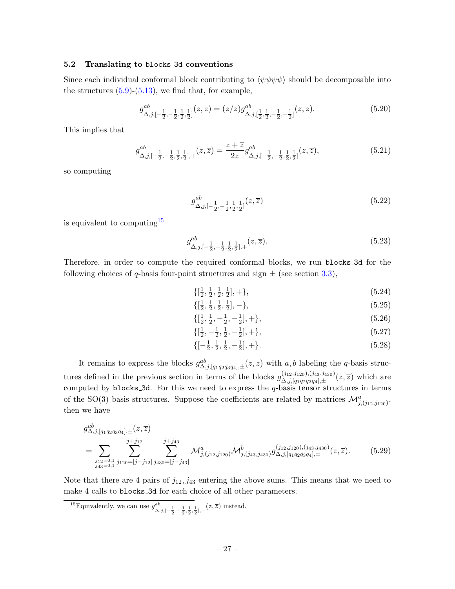#### <span id="page-27-0"></span>5.2 Translating to blocks 3d conventions

Since each individual conformal block contributing to  $\langle \psi \psi \psi \psi \rangle$  should be decomposable into the structures  $(5.9)-(5.13)$  $(5.9)-(5.13)$  $(5.9)-(5.13)$ , we find that, for example,

$$
g_{\Delta,j,[-\frac{1}{2},-\frac{1}{2},\frac{1}{2},\frac{1}{2}]}^{ab}(z,\overline{z}) = (\overline{z}/z)g_{\Delta,j,[\frac{1}{2},\frac{1}{2},-\frac{1}{2},-\frac{1}{2}]}^{ab}(z,\overline{z}).
$$
\n(5.20)

This implies that

$$
g_{\Delta,j,[-\frac{1}{2},-\frac{1}{2},\frac{1}{2},\frac{1}{2}],+}^{ab}(z,\overline{z}) = \frac{z+\overline{z}}{2z}g_{\Delta,j,[-\frac{1}{2},-\frac{1}{2},\frac{1}{2},\frac{1}{2}]}^{ab}(z,\overline{z}),\tag{5.21}
$$

so computing

$$
g^{ab}_{\Delta,j,[-\frac{1}{2},-\frac{1}{2},\frac{1}{2},\frac{1}{2}]}(z,\overline{z})\tag{5.22}
$$

is equivalent to computing[15](#page-27-1)

$$
g^{ab}_{\Delta,j,[-\frac{1}{2},-\frac{1}{2},\frac{1}{2},\frac{1}{2}],+}(z,\overline{z}).\tag{5.23}
$$

Therefore, in order to compute the required conformal blocks, we run blocks 3d for the following choices of q-basis four-point structures and sign  $\pm$  (see section [3.3\)](#page-17-0),

$$
\{[\frac{1}{2}, \frac{1}{2}, \frac{1}{2}, \frac{1}{2}], +\},\tag{5.24}
$$

$$
\{[\frac{1}{2}, \frac{1}{2}, \frac{1}{2}, \frac{1}{2}], -\},\tag{5.25}
$$

$$
\{[\frac{1}{2}, \frac{1}{2}, -\frac{1}{2}, -\frac{1}{2}], +\},\tag{5.26}
$$

$$
\{[\frac{1}{2}, -\frac{1}{2}, \frac{1}{2}, -\frac{1}{2}], +\},\tag{5.27}
$$

$$
\{[-\frac{1}{2}, \frac{1}{2}, \frac{1}{2}, -\frac{1}{2}], +\}.
$$
\n(5.28)

It remains to express the blocks  $g_{\Delta,j,[q_1q_2q_3q_4],\pm}^{ab}(z,\overline{z})$  with a, b labeling the q-basis structures defined in the previous section in terms of the blocks  $g_{\Delta i}^{(j_{12},j_{120}),(j_{43},j_{430})}$  $\Delta$ ,j,[q<sub>1</sub>q<sub>2</sub>q<sub>3</sub>q<sub>4</sub>], $\pm$ <sup>(2</sup>) which are computed by blocks  $-3d$ . For this we need to express the  $q$ -basis tensor structures in terms of the SO(3) basis structures. Suppose the coefficients are related by matrices  $\mathcal{M}_{j,(j_{12},j_{120})}^a$ , then we have

g ab <sup>∆</sup>,j,[q1q2q3q4],±(z, z) = X j12=0,1 j43=0,1 j X +j<sup>12</sup> j120=|j−j12| j X +j<sup>43</sup> j430=|j−j43| M<sup>a</sup> j,(j12,j120)M<sup>b</sup> j,(j43,j430) g (j12,j120),(j43,j430) ∆,j,[q1q2q3q4],± (z, z). (5.29)

Note that there are 4 pairs of  $j_{12}, j_{43}$  entering the above sums. This means that we need to make 4 calls to blocks 3d for each choice of all other parameters.

<span id="page-27-1"></span><sup>15</sup>Equivalently, we can use  $g^{ab}$ <sup>*ab*</sup>  $\Delta$ ,*j*,[- $\frac{1}{2}$ , - $\frac{1}{2}$ ,  $\frac{1}{2}$ ,  $\frac{1}{2}$ ], - (*z*,  $\overline{z}$ ) instead.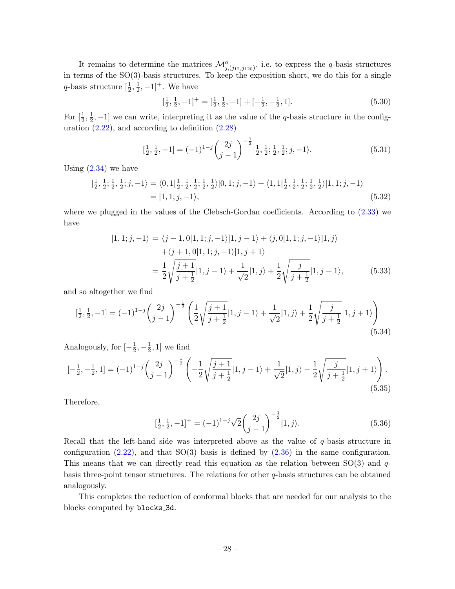It remains to determine the matrices  $\mathcal{M}^a_{j,(j_{12},j_{120})}$ , i.e. to express the q-basis structures in terms of the SO(3)-basis structures. To keep the exposition short, we do this for a single q-basis structure  $[\frac{1}{2}, \frac{1}{2}]$  $(\frac{1}{2}, -1]^{+}$ . We have

$$
\left[\frac{1}{2}, \frac{1}{2}, -1\right]^+ = \left[\frac{1}{2}, \frac{1}{2}, -1\right] + \left[-\frac{1}{2}, -\frac{1}{2}, 1\right].\tag{5.30}
$$

For  $\left[\frac{1}{2},\frac{1}{2}\right]$  $\frac{1}{2}$ , -1] we can write, interpreting it as the value of the *q*-basis structure in the configuration  $(2.22)$ , and according to definition  $(2.28)$ 

$$
\left[\frac{1}{2}, \frac{1}{2}, -1\right] = (-1)^{1-j} \binom{2j}{j-1}^{-\frac{1}{2}} \left|\frac{1}{2}, \frac{1}{2}; \frac{1}{2}, \frac{1}{2}; j, -1\right).
$$
 (5.31)

Using [\(2.34\)](#page-8-5) we have

$$
|\frac{1}{2}, \frac{1}{2}; \frac{1}{2}, \frac{1}{2}; j, -1\rangle = \langle 0, 1|\frac{1}{2}, \frac{1}{2}, \frac{1}{2}; \frac{1}{2}, \frac{1}{2}\rangle |0, 1; j, -1\rangle + \langle 1, 1|\frac{1}{2}, \frac{1}{2}, \frac{1}{2}; \frac{1}{2}, \frac{1}{2}\rangle |1, 1; j, -1\rangle
$$
  
= |1, 1; j, -1\rangle, (5.32)

where we plugged in the values of the Clebsch-Gordan coefficients. According to  $(2.33)$  we have

$$
|1,1;j,-1\rangle = \langle j-1,0|1,1;j,-1\rangle |1,j-1\rangle + \langle j,0|1,1;j,-1\rangle |1,j\rangle
$$
  
 
$$
+\langle j+1,0|1,1;j,-1\rangle |1,j+1\rangle
$$
  

$$
= \frac{1}{2} \sqrt{\frac{j+1}{j+\frac{1}{2}}} |1,j-1\rangle + \frac{1}{\sqrt{2}} |1,j\rangle + \frac{1}{2} \sqrt{\frac{j}{j+\frac{1}{2}}} |1,j+1\rangle,
$$
 (5.33)

and so altogether we find

$$
\left[\frac{1}{2}, \frac{1}{2}, -1\right] = (-1)^{1-j} \binom{2j}{j-1}^{-\frac{1}{2}} \left(\frac{1}{2} \sqrt{\frac{j+1}{j+\frac{1}{2}}} |1, j-1\rangle + \frac{1}{\sqrt{2}} |1, j\rangle + \frac{1}{2} \sqrt{\frac{j}{j+\frac{1}{2}}} |1, j+1\rangle\right)
$$
\n(5.34)

Analogously, for  $\left[-\frac{1}{2}\right]$  $\frac{1}{2}, -\frac{1}{2}$  $\frac{1}{2}$ , 1] we find

$$
[-\frac{1}{2}, -\frac{1}{2}, 1] = (-1)^{1-j} \binom{2j}{j-1}^{-\frac{1}{2}} \left( -\frac{1}{2} \sqrt{\frac{j+1}{j+\frac{1}{2}}} |1, j-1\rangle + \frac{1}{\sqrt{2}} |1, j\rangle - \frac{1}{2} \sqrt{\frac{j}{j+\frac{1}{2}}} |1, j+1\rangle \right).
$$
\n(5.35)

Therefore,

$$
[\frac{1}{2}, \frac{1}{2}, -1]^+ = (-1)^{1-j} \sqrt{2} \binom{2j}{j-1}^{-\frac{1}{2}} |1, j\rangle.
$$
 (5.36)

Recall that the left-hand side was interpreted above as the value of q-basis structure in configuration  $(2.22)$ , and that  $SO(3)$  basis is defined by  $(2.36)$  in the same configuration. This means that we can directly read this equation as the relation between  $SO(3)$  and qbasis three-point tensor structures. The relations for other  $q$ -basis structures can be obtained analogously.

This completes the reduction of conformal blocks that are needed for our analysis to the blocks computed by blocks 3d.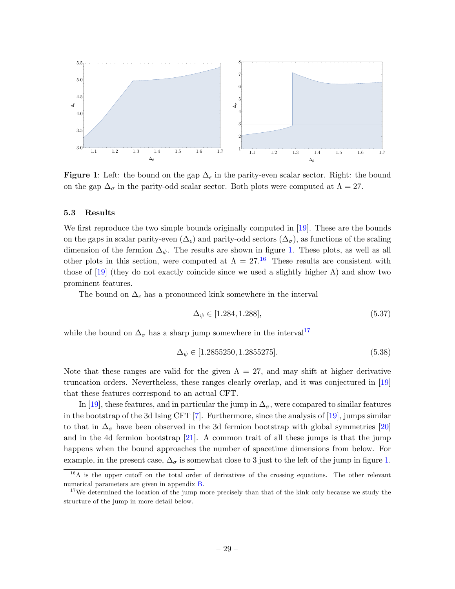<span id="page-29-1"></span>

Figure 1: Left: the bound on the gap  $\Delta_{\epsilon}$  in the parity-even scalar sector. Right: the bound on the gap  $\Delta_{\sigma}$  in the parity-odd scalar sector. Both plots were computed at  $\Lambda = 27$ .

### <span id="page-29-0"></span>5.3 Results

We first reproduce the two simple bounds originally computed in [\[19\]](#page-37-12). These are the bounds on the gaps in scalar parity-even  $(\Delta_{\epsilon})$  and parity-odd sectors  $(\Delta_{\sigma})$ , as functions of the scaling dimension of the fermion  $\Delta_{\psi}$ . The results are shown in figure [1.](#page-29-1) These plots, as well as all other plots in this section, were computed at  $\Lambda = 27$ .<sup>[16](#page-29-2)</sup> These results are consistent with those of [\[19\]](#page-37-12) (they do not exactly coincide since we used a slightly higher  $\Lambda$ ) and show two prominent features.

The bound on  $\Delta_{\epsilon}$  has a pronounced kink somewhere in the interval

$$
\Delta_{\psi} \in [1.284, 1.288],\tag{5.37}
$$

while the bound on  $\Delta_{\sigma}$  has a sharp jump somewhere in the interval<sup>[17](#page-29-3)</sup>

$$
\Delta_{\psi} \in [1.2855250, 1.2855275]. \tag{5.38}
$$

Note that these ranges are valid for the given  $\Lambda = 27$ , and may shift at higher derivative truncation orders. Nevertheless, these ranges clearly overlap, and it was conjectured in [\[19\]](#page-37-12) that these features correspond to an actual CFT.

In [\[19\]](#page-37-12), these features, and in particular the jump in  $\Delta_{\sigma}$ , were compared to similar features in the bootstrap of the 3d Ising CFT  $[7]$ . Furthermore, since the analysis of  $[19]$ , jumps similar to that in  $\Delta_{\sigma}$  have been observed in the 3d fermion bootstrap with global symmetries [\[20\]](#page-37-16) and in the 4d fermion bootstrap  $[21]$ . A common trait of all these jumps is that the jump happens when the bound approaches the number of spacetime dimensions from below. For example, in the present case,  $\Delta_{\sigma}$  is somewhat close to 3 just to the left of the jump in figure [1.](#page-29-1)

<span id="page-29-2"></span><sup>&</sup>lt;sup>16</sup>Λ is the upper cutoff on the total order of derivatives of the crossing equations. The other relevant numerical parameters are given in appendix [B.](#page-34-1)

<span id="page-29-3"></span><sup>&</sup>lt;sup>17</sup>We determined the location of the jump more precisely than that of the kink only because we study the structure of the jump in more detail below.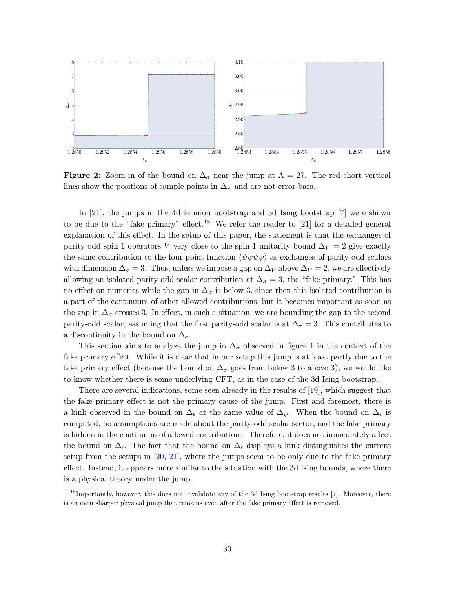<span id="page-30-1"></span>

**Figure 2:** Zoom-in of the bound on  $\Delta_{\sigma}$  near the jump at  $\Lambda = 27$ . The red short vertical lines show the positions of sample points in  $\Delta_{\psi}$  and are not error-bars.

In [\[21\]](#page-37-13), the jumps in the 4d fermion bootstrap and 3d Ising bootstrap [\[7\]](#page-37-8) were shown to be due to the "fake primary" effect.<sup>[18](#page-30-0)</sup> We refer the reader to [\[21\]](#page-37-13) for a detailed general explanation of this effect. In the setup of this paper, the statement is that the exchanges of parity-odd spin-1 operators V very close to the spin-1 unitarity bound  $\Delta V = 2$  give exactly the same contribution to the four-point function  $\langle \psi \psi \psi \psi \rangle$  as exchanges of parity-odd scalars with dimension  $\Delta_{\sigma} = 3$ . Thus, unless we impose a gap on  $\Delta_V$  above  $\Delta_V = 2$ , we are effectively allowing an isolated parity-odd scalar contribution at  $\Delta_{\sigma} = 3$ , the "fake primary." This has no effect on numerics while the gap in  $\Delta_{\sigma}$  is below 3, since then this isolated contribution is a part of the continuum of other allowed contributions, but it becomes important as soon as the gap in  $\Delta_{\sigma}$  crosses 3. In effect, in such a situation, we are bounding the gap to the second parity-odd scalar, assuming that the first parity-odd scalar is at  $\Delta_{\sigma} = 3$ . This contributes to a discontinuity in the bound on  $\Delta_{\sigma}$ .

This section aims to analyze the jump in  $\Delta_{\sigma}$  observed in figure [1](#page-29-1) in the context of the fake primary effect. While it is clear that in our setup this jump is at least partly due to the fake primary effect (because the bound on  $\Delta_{\sigma}$  goes from below 3 to above 3), we would like to know whether there is some underlying CFT, as in the case of the 3d Ising bootstrap.

There are several indications, some seen already in the results of [\[19\]](#page-37-12), which suggest that the fake primary effect is not the primary cause of the jump. First and foremost, there is a kink observed in the bound on  $\Delta_{\epsilon}$  at the same value of  $\Delta_{\psi}$ . When the bound on  $\Delta_{\epsilon}$  is computed, no assumptions are made about the parity-odd scalar sector, and the fake primary is hidden in the continuum of allowed contributions. Therefore, it does not immediately affect the bound on  $\Delta_{\epsilon}$ . The fact that the bound on  $\Delta_{\epsilon}$  displays a kink distinguishes the current setup from the setups in [\[20,](#page-37-16) [21\]](#page-37-13), where the jumps seem to be only due to the fake primary effect. Instead, it appears more similar to the situation with the 3d Ising bounds, where there is a physical theory under the jump.

<span id="page-30-0"></span><sup>&</sup>lt;sup>18</sup>Importantly, however, this does not invalidate any of the 3d Ising bootstrap results [\[7\]](#page-37-8). Moreover, there is an even sharper physical jump that remains even after the fake primary effect is removed.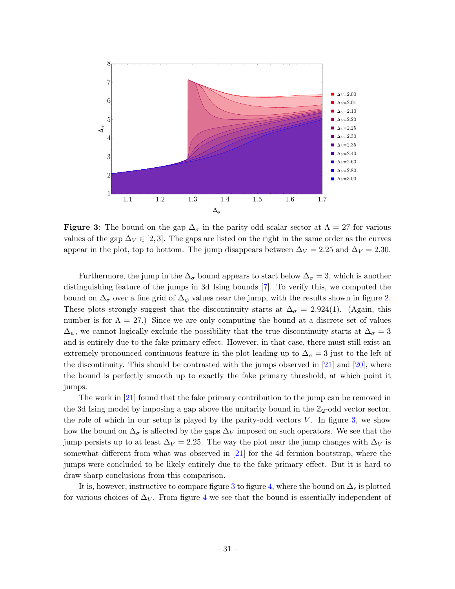<span id="page-31-0"></span>

**Figure 3:** The bound on the gap  $\Delta_{\sigma}$  in the parity-odd scalar sector at  $\Lambda = 27$  for various values of the gap  $\Delta V \in [2, 3]$ . The gaps are listed on the right in the same order as the curves appear in the plot, top to bottom. The jump disappears between  $\Delta V = 2.25$  and  $\Delta V = 2.30$ .

Furthermore, the jump in the  $\Delta_{\sigma}$  bound appears to start below  $\Delta_{\sigma} = 3$ , which is another distinguishing feature of the jumps in 3d Ising bounds [\[7\]](#page-37-8). To verify this, we computed the bound on  $\Delta_{\sigma}$  over a fine grid of  $\Delta_{\psi}$  values near the jump, with the results shown in figure [2.](#page-30-1) These plots strongly suggest that the discontinuity starts at  $\Delta_{\sigma} = 2.924(1)$ . (Again, this number is for  $\Lambda = 27$ .) Since we are only computing the bound at a discrete set of values  $\Delta_{\psi}$ , we cannot logically exclude the possibility that the true discontinuity starts at  $\Delta_{\sigma} = 3$ and is entirely due to the fake primary effect. However, in that case, there must still exist an extremely pronounced continuous feature in the plot leading up to  $\Delta_{\sigma} = 3$  just to the left of the discontinuity. This should be contrasted with the jumps observed in  $[21]$  and  $[20]$ , where the bound is perfectly smooth up to exactly the fake primary threshold, at which point it jumps.

The work in [\[21\]](#page-37-13) found that the fake primary contribution to the jump can be removed in the 3d Ising model by imposing a gap above the unitarity bound in the  $\mathbb{Z}_2$ -odd vector sector, the role of which in our setup is played by the parity-odd vectors  $V$ . In figure [3,](#page-31-0) we show how the bound on  $\Delta_{\sigma}$  is affected by the gaps  $\Delta_V$  imposed on such operators. We see that the jump persists up to at least  $\Delta_V = 2.25$ . The way the plot near the jump changes with  $\Delta_V$  is somewhat different from what was observed in [\[21\]](#page-37-13) for the 4d fermion bootstrap, where the jumps were concluded to be likely entirely due to the fake primary effect. But it is hard to draw sharp conclusions from this comparison.

It is, however, instructive to compare figure [3](#page-31-0) to figure [4,](#page-32-1) where the bound on  $\Delta_{\epsilon}$  is plotted for various choices of  $\Delta_V$ . From figure [4](#page-32-1) we see that the bound is essentially independent of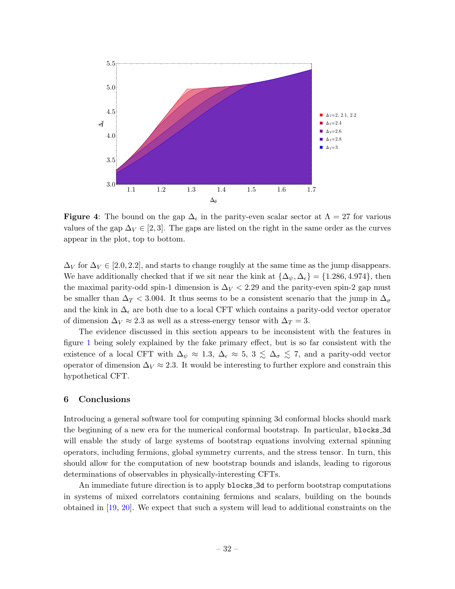<span id="page-32-1"></span>

**Figure 4:** The bound on the gap  $\Delta_{\epsilon}$  in the parity-even scalar sector at  $\Lambda = 27$  for various values of the gap  $\Delta V \in [2, 3]$ . The gaps are listed on the right in the same order as the curves appear in the plot, top to bottom.

 $\Delta_V$  for  $\Delta_V \in [2.0, 2.2]$ , and starts to change roughly at the same time as the jump disappears. We have additionally checked that if we sit near the kink at  $\{\Delta_{\psi}, \Delta_{\epsilon}\} = \{1.286, 4.974\}$ , then the maximal parity-odd spin-1 dimension is  $\Delta V < 2.29$  and the parity-even spin-2 gap must be smaller than  $\Delta_T < 3.004$ . It thus seems to be a consistent scenario that the jump in  $\Delta_{\sigma}$ and the kink in  $\Delta_{\epsilon}$  are both due to a local CFT which contains a parity-odd vector operator of dimension  $\Delta_V \approx 2.3$  as well as a stress-energy tensor with  $\Delta_T = 3$ .

The evidence discussed in this section appears to be inconsistent with the features in figure [1](#page-29-1) being solely explained by the fake primary effect, but is so far consistent with the existence of a local CFT with  $\Delta_{\psi} \approx 1.3$ ,  $\Delta_{\epsilon} \approx 5$ ,  $3 \leq \Delta_{\sigma} \leq 7$ , and a parity-odd vector operator of dimension  $\Delta_V \approx 2.3$ . It would be interesting to further explore and constrain this hypothetical CFT.

### <span id="page-32-0"></span>6 Conclusions

Introducing a general software tool for computing spinning 3d conformal blocks should mark the beginning of a new era for the numerical conformal bootstrap. In particular, blocks 3d will enable the study of large systems of bootstrap equations involving external spinning operators, including fermions, global symmetry currents, and the stress tensor. In turn, this should allow for the computation of new bootstrap bounds and islands, leading to rigorous determinations of observables in physically-interesting CFTs.

An immediate future direction is to apply blocks 3d to perform bootstrap computations in systems of mixed correlators containing fermions and scalars, building on the bounds obtained in [\[19,](#page-37-12) [20\]](#page-37-16). We expect that such a system will lead to additional constraints on the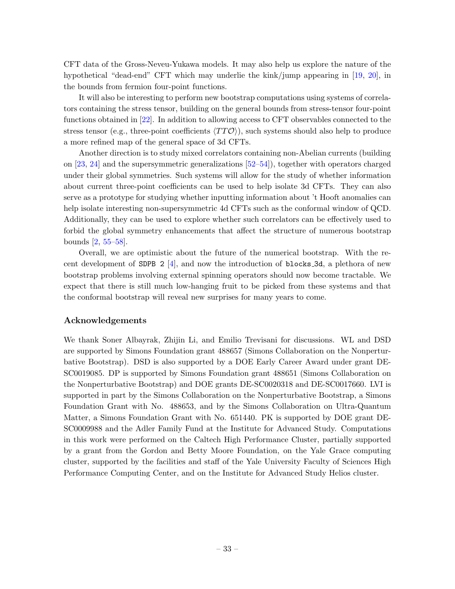CFT data of the Gross-Neveu-Yukawa models. It may also help us explore the nature of the hypothetical "dead-end" CFT which may underlie the kink/jump appearing in [\[19,](#page-37-12) [20\]](#page-37-16), in the bounds from fermion four-point functions.

It will also be interesting to perform new bootstrap computations using systems of correlators containing the stress tensor, building on the general bounds from stress-tensor four-point functions obtained in [\[22\]](#page-38-0). In addition to allowing access to CFT observables connected to the stress tensor (e.g., three-point coefficients  $\langle TT\hat{O} \rangle$ ), such systems should also help to produce a more refined map of the general space of 3d CFTs.

Another direction is to study mixed correlators containing non-Abelian currents (building on [\[23,](#page-38-1) [24\]](#page-38-2) and the supersymmetric generalizations [\[52–](#page-39-11)[54\]](#page-39-12)), together with operators charged under their global symmetries. Such systems will allow for the study of whether information about current three-point coefficients can be used to help isolate 3d CFTs. They can also serve as a prototype for studying whether inputting information about 't Hooft anomalies can help isolate interesting non-supersymmetric 4d CFTs such as the conformal window of QCD. Additionally, they can be used to explore whether such correlators can be effectively used to forbid the global symmetry enhancements that affect the structure of numerous bootstrap bounds [\[2,](#page-36-3) [55–](#page-39-13)[58\]](#page-39-14).

Overall, we are optimistic about the future of the numerical bootstrap. With the recent development of SDPB 2  $[4]$ , and now the introduction of blocks 3d, a plethora of new bootstrap problems involving external spinning operators should now become tractable. We expect that there is still much low-hanging fruit to be picked from these systems and that the conformal bootstrap will reveal new surprises for many years to come.

### Acknowledgements

We thank Soner Albayrak, Zhijin Li, and Emilio Trevisani for discussions. WL and DSD are supported by Simons Foundation grant 488657 (Simons Collaboration on the Nonperturbative Bootstrap). DSD is also supported by a DOE Early Career Award under grant DE-SC0019085. DP is supported by Simons Foundation grant 488651 (Simons Collaboration on the Nonperturbative Bootstrap) and DOE grants DE-SC0020318 and DE-SC0017660. LVI is supported in part by the Simons Collaboration on the Nonperturbative Bootstrap, a Simons Foundation Grant with No. 488653, and by the Simons Collaboration on Ultra-Quantum Matter, a Simons Foundation Grant with No. 651440. PK is supported by DOE grant DE-SC0009988 and the Adler Family Fund at the Institute for Advanced Study. Computations in this work were performed on the Caltech High Performance Cluster, partially supported by a grant from the Gordon and Betty Moore Foundation, on the Yale Grace computing cluster, supported by the facilities and staff of the Yale University Faculty of Sciences High Performance Computing Center, and on the Institute for Advanced Study Helios cluster.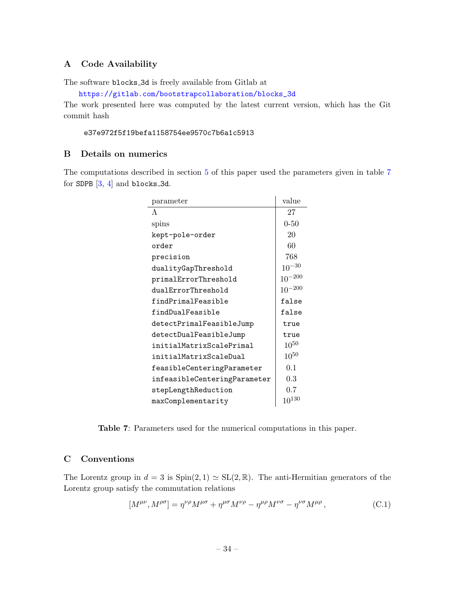### <span id="page-34-0"></span>A Code Availability

The software blocks 3d is freely available from Gitlab at

[https://gitlab.com/bootstrapcollaboration/blocks\\_3d](https://gitlab.com/bootstrapcollaboration/blocks_3d)

The work presented here was computed by the latest current version, which has the Git commit hash

### e37e972f5f19befa1158754ee9570c7b6a1c5913

### <span id="page-34-1"></span>B Details on numerics

<span id="page-34-3"></span>The computations described in section [5](#page-24-0) of this paper used the parameters given in table [7](#page-34-3) for SDPB  $[3, 4]$  $[3, 4]$  $[3, 4]$  and blocks 3d.

| parameter                    | value       |
|------------------------------|-------------|
| $\Lambda$                    | 27          |
| spins                        | $0 - 50$    |
| kept-pole-order              | 20          |
| order                        | 60          |
| precision                    | 768         |
| dualityGapThreshold          | $10^{-30}$  |
| primalErrorThreshold         | $10^{-200}$ |
| dualErrorThreshold           | $10^{-200}$ |
| findPrimalFeasible           | false       |
| findDualFeasible             | false       |
| detectPrimalFeasibleJump     | true        |
| detectDualFeasibleJump       | true        |
| initialMatrixScalePrimal     | $10^{50}$   |
| initialMatrixScaleDual       | $10^{50}$   |
| feasibleCenteringParameter   | 0.1         |
| infeasibleCenteringParameter | 0.3         |
| stepLengthReduction          | 0.7         |
| maxComplementarity           | $10^{130}$  |

Table 7: Parameters used for the numerical computations in this paper.

### <span id="page-34-2"></span>C Conventions

The Lorentz group in  $d = 3$  is  $Spin(2, 1) \simeq SL(2, \mathbb{R})$ . The anti-Hermitian generators of the Lorentz group satisfy the commutation relations

<span id="page-34-4"></span>
$$
[M^{\mu\nu}, M^{\rho\sigma}] = \eta^{\nu\rho} M^{\mu\sigma} + \eta^{\mu\sigma} M^{\nu\rho} - \eta^{\mu\rho} M^{\nu\sigma} - \eta^{\nu\sigma} M^{\mu\rho} , \tag{C.1}
$$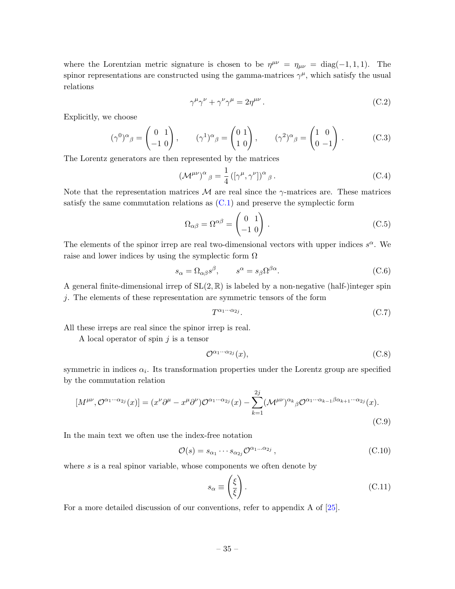where the Lorentzian metric signature is chosen to be  $\eta^{\mu\nu} = \eta_{\mu\nu} = \text{diag}(-1, 1, 1)$ . The spinor representations are constructed using the gamma-matrices  $\gamma^{\mu}$ , which satisfy the usual relations

$$
\gamma^{\mu}\gamma^{\nu} + \gamma^{\nu}\gamma^{\mu} = 2\eta^{\mu\nu}.
$$
\n(C.2)

Explicitly, we choose

$$
(\gamma^0)^\alpha{}_\beta = \begin{pmatrix} 0 & 1 \\ -1 & 0 \end{pmatrix}, \qquad (\gamma^1)^\alpha{}_\beta = \begin{pmatrix} 0 & 1 \\ 1 & 0 \end{pmatrix}, \qquad (\gamma^2)^\alpha{}_\beta = \begin{pmatrix} 1 & 0 \\ 0 & -1 \end{pmatrix} . \tag{C.3}
$$

The Lorentz generators are then represented by the matrices

$$
(\mathcal{M}^{\mu\nu})^{\alpha}{}_{\beta} = \frac{1}{4} \left( [\gamma^{\mu}, \gamma^{\nu}] \right)^{\alpha}{}_{\beta} . \tag{C.4}
$$

Note that the representation matrices  $\mathcal M$  are real since the  $\gamma$ -matrices are. These matrices satisfy the same commutation relations as  $(C.1)$  and preserve the symplectic form

$$
\Omega_{\alpha\beta} = \Omega^{\alpha\beta} = \begin{pmatrix} 0 & 1 \\ -1 & 0 \end{pmatrix} .
$$
 (C.5)

The elements of the spinor irrep are real two-dimensional vectors with upper indices  $s^{\alpha}$ . We raise and lower indices by using the symplectic form  $\Omega$ 

$$
s_{\alpha} = \Omega_{\alpha\beta}s^{\beta}, \qquad s^{\alpha} = s_{\beta}\Omega^{\beta\alpha}.
$$
 (C.6)

A general finite-dimensional irrep of  $SL(2,\mathbb{R})$  is labeled by a non-negative (half-)integer spin j. The elements of these representation are symmetric tensors of the form

$$
T^{\alpha_1 \cdots \alpha_{2j}}.\tag{C.7}
$$

All these irreps are real since the spinor irrep is real.

A local operator of spin  $j$  is a tensor

$$
\mathcal{O}^{\alpha_1 \cdots \alpha_{2j}}(x),\tag{C.8}
$$

symmetric in indices  $\alpha_i$ . Its transformation properties under the Lorentz group are specified by the commutation relation

$$
[M^{\mu\nu}, \mathcal{O}^{\alpha_1 \cdots \alpha_{2j}}(x)] = (x^{\nu} \partial^{\mu} - x^{\mu} \partial^{\nu}) \mathcal{O}^{\alpha_1 \cdots \alpha_{2j}}(x) - \sum_{k=1}^{2j} (\mathcal{M}^{\mu\nu})^{\alpha_k}{}_{\beta} \mathcal{O}^{\alpha_1 \cdots \alpha_{k-1} \beta \alpha_{k+1} \cdots \alpha_{2j}}(x).
$$
\n(C.9)

In the main text we often use the index-free notation

$$
\mathcal{O}(s) = s_{\alpha_1} \cdots s_{\alpha_{2j}} \mathcal{O}^{\alpha_1 \cdots \alpha_{2j}}, \qquad (C.10)
$$

where  $s$  is a real spinor variable, whose components we often denote by

$$
s_{\alpha} \equiv \left(\frac{\xi}{\xi}\right). \tag{C.11}
$$

For a more detailed discussion of our conventions, refer to appendix A of [\[25\]](#page-38-3).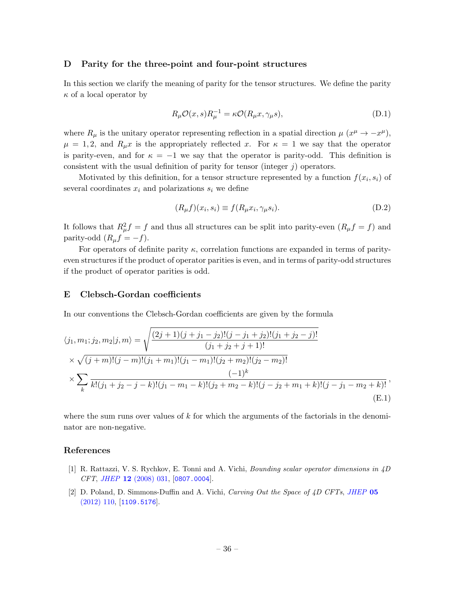#### <span id="page-36-0"></span>D Parity for the three-point and four-point structures

In this section we clarify the meaning of parity for the tensor structures. We define the parity  $\kappa$  of a local operator by

$$
R_{\mu}\mathcal{O}(x,s)R_{\mu}^{-1} = \kappa \mathcal{O}(R_{\mu}x,\gamma_{\mu}s),\tag{D.1}
$$

where  $R_{\mu}$  is the unitary operator representing reflection in a spatial direction  $\mu$   $(x^{\mu} \rightarrow -x^{\mu})$ ,  $\mu = 1, 2$ , and  $R_{\mu}x$  is the appropriately reflected x. For  $\kappa = 1$  we say that the operator is parity-even, and for  $\kappa = -1$  we say that the operator is parity-odd. This definition is consistent with the usual definition of parity for tensor (integer  $j$ ) operators.

Motivated by this definition, for a tensor structure represented by a function  $f(x_i, s_i)$  of several coordinates  $x_i$  and polarizations  $s_i$  we define

$$
(R_{\mu}f)(x_i, s_i) \equiv f(R_{\mu}x_i, \gamma_{\mu}s_i). \tag{D.2}
$$

It follows that  $R^2_\mu f = f$  and thus all structures can be split into parity-even  $(R_\mu f = f)$  and parity-odd  $(R_\mu f = -f)$ .

For operators of definite parity  $\kappa$ , correlation functions are expanded in terms of parityeven structures if the product of operator parities is even, and in terms of parity-odd structures if the product of operator parities is odd.

### <span id="page-36-1"></span>E Clebsch-Gordan coefficients

In our conventions the Clebsch-Gordan coefficients are given by the formula

$$
\langle j_1, m_1; j_2, m_2 | j, m \rangle = \sqrt{\frac{(2j+1)(j+j_1-j_2)!(j-j_1+j_2)!(j_1+j_2-j)!}{(j_1+j_2+j+1)!}}
$$
  
\n
$$
\times \sqrt{(j+m)!(j-m)!(j_1+m_1)!(j_1-m_1)!(j_2+m_2)!(j_2-m_2)!}
$$
  
\n
$$
\times \sum_{k} \frac{(-1)^k}{k!(j_1+j_2-j-k)!(j_1-m_1-k)!(j_2+m_2-k)!(j-j_2+m_1+k)!(j-j_1-m_2+k)!},
$$
  
\n(E.1)

where the sum runs over values of  $k$  for which the arguments of the factorials in the denominator are non-negative.

### References

- <span id="page-36-2"></span>[1] R. Rattazzi, V. S. Rychkov, E. Tonni and A. Vichi, Bounding scalar operator dimensions in 4D CFT, JHEP 12 [\(2008\) 031,](http://dx.doi.org/10.1088/1126-6708/2008/12/031) [[0807.0004](https://arxiv.org/abs/0807.0004)].
- <span id="page-36-3"></span>[2] D. Poland, D. Simmons-Duffin and A. Vichi, Carving Out the Space of 4D CFTs, [JHEP](http://dx.doi.org/10.1007/JHEP05(2012)110) 05 [\(2012\) 110,](http://dx.doi.org/10.1007/JHEP05(2012)110) [[1109.5176](https://arxiv.org/abs/1109.5176)].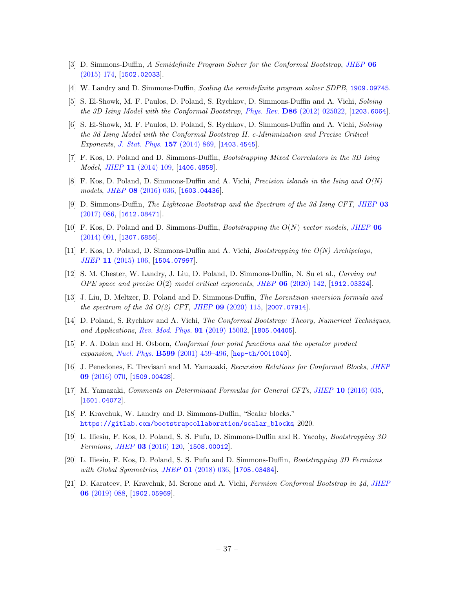- <span id="page-37-14"></span>[3] D. Simmons-Duffin, A Semidefinite Program Solver for the Conformal Bootstrap, [JHEP](http://dx.doi.org/10.1007/JHEP06(2015)174) 06 [\(2015\) 174,](http://dx.doi.org/10.1007/JHEP06(2015)174) [[1502.02033](https://arxiv.org/abs/1502.02033)].
- <span id="page-37-0"></span>[4] W. Landry and D. Simmons-Duffin, Scaling the semidefinite program solver SDPB, [1909.09745](https://arxiv.org/abs/1909.09745).
- <span id="page-37-1"></span>[5] S. El-Showk, M. F. Paulos, D. Poland, S. Rychkov, D. Simmons-Duffin and A. Vichi, Solving the 3D Ising Model with the Conformal Bootstrap, Phys. Rev. D86 [\(2012\) 025022,](http://dx.doi.org/10.1103/PhysRevD.86.025022) [[1203.6064](https://arxiv.org/abs/1203.6064)].
- [6] S. El-Showk, M. F. Paulos, D. Poland, S. Rychkov, D. Simmons-Duffin and A. Vichi, Solving the 3d Ising Model with the Conformal Bootstrap II. c-Minimization and Precise Critical Exponents, [J. Stat. Phys.](http://dx.doi.org/10.1007/s10955-014-1042-7) 157 (2014) 869, [[1403.4545](https://arxiv.org/abs/1403.4545)].
- <span id="page-37-8"></span>[7] F. Kos, D. Poland and D. Simmons-Duffin, Bootstrapping Mixed Correlators in the 3D Ising Model, JHEP 11 [\(2014\) 109,](http://dx.doi.org/10.1007/JHEP11(2014)109) [[1406.4858](https://arxiv.org/abs/1406.4858)].
- <span id="page-37-3"></span>[8] F. Kos, D. Poland, D. Simmons-Duffin and A. Vichi, *Precision islands in the Ising and*  $O(N)$ models, JHEP 08 [\(2016\) 036,](http://dx.doi.org/10.1007/JHEP08(2016)036) [[1603.04436](https://arxiv.org/abs/1603.04436)].
- <span id="page-37-2"></span>[9] D. Simmons-Duffin, The Lightcone Bootstrap and the Spectrum of the 3d Ising CFT, [JHEP](http://dx.doi.org/10.1007/JHEP03(2017)086) 03  $(2017)$  086, [[1612.08471](https://arxiv.org/abs/1612.08471)].
- <span id="page-37-4"></span>[10] F. Kos, D. Poland and D. Simmons-Duffin, *Bootstrapping the*  $O(N)$  *vector models, [JHEP](http://dx.doi.org/10.1007/JHEP06(2014)091)* 06  $(2014)$  091, [[1307.6856](https://arxiv.org/abs/1307.6856)].
- [11] F. Kos, D. Poland, D. Simmons-Duffin and A. Vichi, Bootstrapping the O(N) Archipelago, JHEP 11 [\(2015\) 106,](http://dx.doi.org/10.1007/JHEP11(2015)106) [[1504.07997](https://arxiv.org/abs/1504.07997)].
- <span id="page-37-15"></span>[12] S. M. Chester, W. Landry, J. Liu, D. Poland, D. Simmons-Duffin, N. Su et al., Carving out OPE space and precise  $O(2)$  model critical exponents, JHEP  $06$  [\(2020\) 142,](http://dx.doi.org/10.1007/JHEP06(2020)142) [[1912.03324](https://arxiv.org/abs/1912.03324)].
- <span id="page-37-5"></span>[13] J. Liu, D. Meltzer, D. Poland and D. Simmons-Duffin, The Lorentzian inversion formula and the spectrum of the 3d  $O(2)$  CFT, JHEP 09  $(2020)$  115,  $[2007.07914]$  $[2007.07914]$  $[2007.07914]$ .
- <span id="page-37-6"></span>[14] D. Poland, S. Rychkov and A. Vichi, *The Conformal Bootstrap: Theory, Numerical Techniques*, and Applications, [Rev. Mod. Phys.](http://dx.doi.org/10.1103/RevModPhys.91.015002) 91 (2019) 15002, [[1805.04405](https://arxiv.org/abs/1805.04405)].
- <span id="page-37-7"></span>[15] F. A. Dolan and H. Osborn, Conformal four point functions and the operator product expansion, Nucl. Phys. B599 [\(2001\) 459–496,](http://dx.doi.org/10.1016/S0550-3213(01)00013-X) [[hep-th/0011040](https://arxiv.org/abs/hep-th/0011040)].
- <span id="page-37-9"></span>[16] J. Penedones, E. Trevisani and M. Yamazaki, Recursion Relations for Conformal Blocks, [JHEP](http://dx.doi.org/10.1007/JHEP09(2016)070) 09 [\(2016\) 070,](http://dx.doi.org/10.1007/JHEP09(2016)070) [[1509.00428](https://arxiv.org/abs/1509.00428)].
- <span id="page-37-10"></span>[17] M. Yamazaki, Comments on Determinant Formulas for General CFTs, JHEP 10 [\(2016\) 035,](http://dx.doi.org/10.1007/JHEP10(2016)035) [[1601.04072](https://arxiv.org/abs/1601.04072)].
- <span id="page-37-11"></span>[18] P. Kravchuk, W. Landry and D. Simmons-Duffin, "Scalar blocks." [https://gitlab.com/bootstrapcollaboration/scalar\\_blocks](https://gitlab.com/bootstrapcollaboration/scalar_blocks), 2020.
- <span id="page-37-12"></span>[19] L. Iliesiu, F. Kos, D. Poland, S. S. Pufu, D. Simmons-Duffin and R. Yacoby, Bootstrapping 3D Fermions, JHEP 03 [\(2016\) 120,](http://dx.doi.org/10.1007/JHEP03(2016)120) [[1508.00012](https://arxiv.org/abs/1508.00012)].
- <span id="page-37-16"></span>[20] L. Iliesiu, F. Kos, D. Poland, S. S. Pufu and D. Simmons-Duffin, Bootstrapping 3D Fermions with Global Symmetries, JHEP 01 [\(2018\) 036,](http://dx.doi.org/10.1007/JHEP01(2018)036) [[1705.03484](https://arxiv.org/abs/1705.03484)].
- <span id="page-37-13"></span>[21] D. Karateev, P. Kravchuk, M. Serone and A. Vichi, Fermion Conformal Bootstrap in 4d, [JHEP](http://dx.doi.org/10.1007/JHEP06(2019)088) 06 [\(2019\) 088,](http://dx.doi.org/10.1007/JHEP06(2019)088) [[1902.05969](https://arxiv.org/abs/1902.05969)].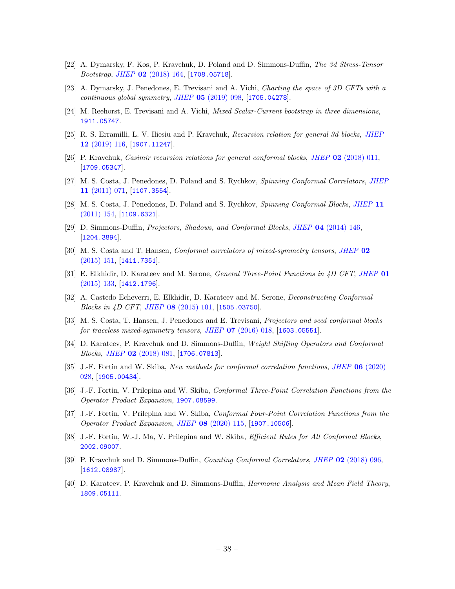- <span id="page-38-0"></span>[22] A. Dymarsky, F. Kos, P. Kravchuk, D. Poland and D. Simmons-Duffin, The 3d Stress-Tensor Bootstrap, JHEP 02 [\(2018\) 164,](http://dx.doi.org/10.1007/JHEP02(2018)164) [[1708.05718](https://arxiv.org/abs/1708.05718)].
- <span id="page-38-1"></span>[23] A. Dymarsky, J. Penedones, E. Trevisani and A. Vichi, Charting the space of 3D CFTs with a continuous global symmetry, JHEP 05 [\(2019\) 098,](http://dx.doi.org/10.1007/JHEP05(2019)098) [[1705.04278](https://arxiv.org/abs/1705.04278)].
- <span id="page-38-2"></span>[24] M. Reehorst, E. Trevisani and A. Vichi, Mixed Scalar-Current bootstrap in three dimensions, [1911.05747](https://arxiv.org/abs/1911.05747).
- <span id="page-38-3"></span>[25] R. S. Erramilli, L. V. Iliesiu and P. Kravchuk, Recursion relation for general 3d blocks, [JHEP](http://dx.doi.org/10.1007/JHEP12(2019)116) 12 [\(2019\) 116,](http://dx.doi.org/10.1007/JHEP12(2019)116) [[1907.11247](https://arxiv.org/abs/1907.11247)].
- <span id="page-38-4"></span>[26] P. Kravchuk, Casimir recursion relations for general conformal blocks, JHEP 02 [\(2018\) 011,](http://dx.doi.org/10.1007/JHEP02(2018)011) [[1709.05347](https://arxiv.org/abs/1709.05347)].
- <span id="page-38-5"></span>[27] M. S. Costa, J. Penedones, D. Poland and S. Rychkov, Spinning Conformal Correlators, [JHEP](http://dx.doi.org/10.1007/JHEP11(2011)071) 11 [\(2011\) 071,](http://dx.doi.org/10.1007/JHEP11(2011)071) [[1107.3554](https://arxiv.org/abs/1107.3554)].
- [28] M. S. Costa, J. Penedones, D. Poland and S. Rychkov, Spinning Conformal Blocks, [JHEP](http://dx.doi.org/10.1007/JHEP11(2011)154) 11  $(2011)$  154, [[1109.6321](https://arxiv.org/abs/1109.6321)].
- [29] D. Simmons-Duffin, Projectors, Shadows, and Conformal Blocks, JHEP 04 [\(2014\) 146,](http://dx.doi.org/10.1007/JHEP04(2014)146) [[1204.3894](https://arxiv.org/abs/1204.3894)].
- [30] M. S. Costa and T. Hansen, Conformal correlators of mixed-symmetry tensors, [JHEP](http://dx.doi.org/10.1007/JHEP02(2015)151) 02 [\(2015\) 151,](http://dx.doi.org/10.1007/JHEP02(2015)151) [[1411.7351](https://arxiv.org/abs/1411.7351)].
- [31] E. Elkhidir, D. Karateev and M. Serone, General Three-Point Functions in 4D CFT, [JHEP](http://dx.doi.org/10.1007/JHEP01(2015)133) 01  $(2015)$  133, [[1412.1796](https://arxiv.org/abs/1412.1796)].
- [32] A. Castedo Echeverri, E. Elkhidir, D. Karateev and M. Serone, Deconstructing Conformal Blocks in 4D CFT, JHEP 08 [\(2015\) 101,](http://dx.doi.org/10.1007/JHEP08(2015)101) [[1505.03750](https://arxiv.org/abs/1505.03750)].
- [33] M. S. Costa, T. Hansen, J. Penedones and E. Trevisani, Projectors and seed conformal blocks for traceless mixed-symmetry tensors, JHEP  $07$  [\(2016\) 018,](http://dx.doi.org/10.1007/JHEP07(2016)018) [[1603.05551](https://arxiv.org/abs/1603.05551)].
- [34] D. Karateev, P. Kravchuk and D. Simmons-Duffin, Weight Shifting Operators and Conformal Blocks, JHEP 02 [\(2018\) 081,](http://dx.doi.org/10.1007/JHEP02(2018)081) [[1706.07813](https://arxiv.org/abs/1706.07813)].
- [35] J.-F. Fortin and W. Skiba, New methods for conformal correlation functions, JHEP 06 [\(2020\)](http://dx.doi.org/10.1007/JHEP06(2020)028) [028,](http://dx.doi.org/10.1007/JHEP06(2020)028) [[1905.00434](https://arxiv.org/abs/1905.00434)].
- [36] J.-F. Fortin, V. Prilepina and W. Skiba, Conformal Three-Point Correlation Functions from the Operator Product Expansion, [1907.08599](https://arxiv.org/abs/1907.08599).
- [37] J.-F. Fortin, V. Prilepina and W. Skiba, Conformal Four-Point Correlation Functions from the Operator Product Expansion, JHEP 08 [\(2020\) 115,](http://dx.doi.org/10.1007/JHEP08(2020)115) [[1907.10506](https://arxiv.org/abs/1907.10506)].
- <span id="page-38-6"></span>[38] J.-F. Fortin, W.-J. Ma, V. Prilepina and W. Skiba, Efficient Rules for All Conformal Blocks, [2002.09007](https://arxiv.org/abs/2002.09007).
- <span id="page-38-7"></span>[39] P. Kravchuk and D. Simmons-Duffin, Counting Conformal Correlators, JHEP 02 [\(2018\) 096,](http://dx.doi.org/10.1007/JHEP02(2018)096) [[1612.08987](https://arxiv.org/abs/1612.08987)].
- <span id="page-38-8"></span>[40] D. Karateev, P. Kravchuk and D. Simmons-Duffin, Harmonic Analysis and Mean Field Theory, [1809.05111](https://arxiv.org/abs/1809.05111).